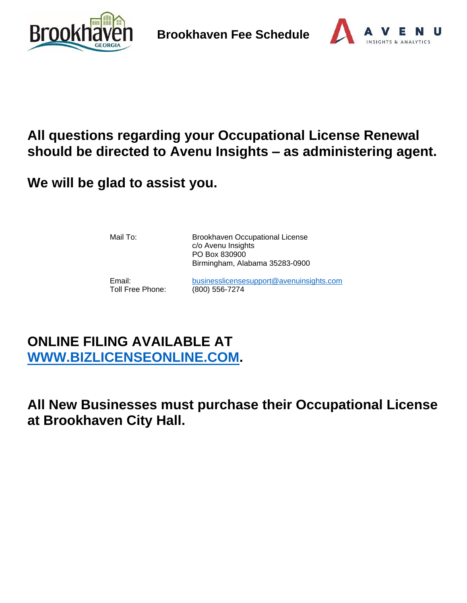



# **All questions regarding your Occupational License Renewal should be directed to Avenu Insights – as administering agent.**

**We will be glad to assist you.**

Mail To: Brookhaven Occupational License c/o Avenu Insights PO Box 830900 Birmingham, Alabama 35283-0900

Toll Free Phone: (800) 556-7274

Email: [businesslicensesupport@avenuinsights.com](mailto:businesslicensesupport@avenuinsights.com)

# **ONLINE FILING AVAILABLE AT [WWW.BIZLICENSEONLINE.COM.](http://www.bizlicenseonline.com/)**

**All New Businesses must purchase their Occupational License at Brookhaven City Hall.**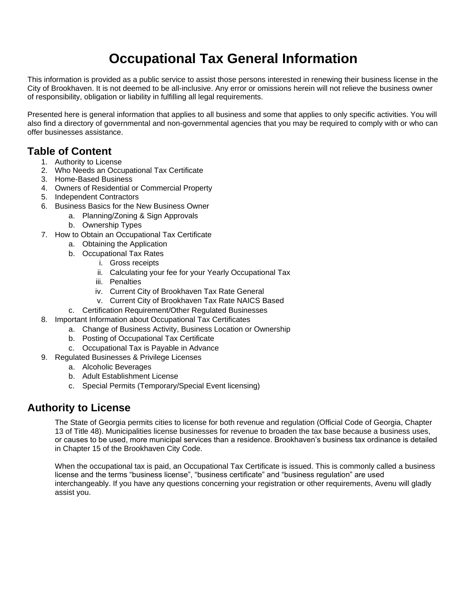# **Occupational Tax General Information**

This information is provided as a public service to assist those persons interested in renewing their business license in the City of Brookhaven. It is not deemed to be all-inclusive. Any error or omissions herein will not relieve the business owner of responsibility, obligation or liability in fulfilling all legal requirements.

Presented here is general information that applies to all business and some that applies to only specific activities. You will also find a directory of governmental and non-governmental agencies that you may be required to comply with or who can offer businesses assistance.

## **Table of Content**

- 1. Authority to License
- 2. Who Needs an Occupational Tax Certificate
- 3. Home-Based Business
- 4. Owners of Residential or Commercial Property
- 5. Independent Contractors
- 6. Business Basics for the New Business Owner
	- a. Planning/Zoning & Sign Approvals
	- b. Ownership Types
- 7. How to Obtain an Occupational Tax Certificate
	- a. Obtaining the Application
	- b. Occupational Tax Rates
		- i. Gross receipts
		- ii. Calculating your fee for your Yearly Occupational Tax
		- iii. Penalties
		- iv. Current City of Brookhaven Tax Rate General
		- v. Current City of Brookhaven Tax Rate NAICS Based
	- c. Certification Requirement/Other Regulated Businesses
- 8. Important Information about Occupational Tax Certificates
	- a. Change of Business Activity, Business Location or Ownership
	- b. Posting of Occupational Tax Certificate
	- c. Occupational Tax is Payable in Advance
- 9. Regulated Businesses & Privilege Licenses
	- a. Alcoholic Beverages
	- b. Adult Establishment License
	- c. Special Permits (Temporary/Special Event licensing)

## **Authority to License**

The State of Georgia permits cities to license for both revenue and regulation (Official Code of Georgia, Chapter 13 of Title 48). Municipalities license businesses for revenue to broaden the tax base because a business uses, or causes to be used, more municipal services than a residence. Brookhaven's business tax ordinance is detailed in Chapter 15 of the Brookhaven City Code.

When the occupational tax is paid, an Occupational Tax Certificate is issued. This is commonly called a business license and the terms "business license", "business certificate" and "business regulation" are used interchangeably. If you have any questions concerning your registration or other requirements, Avenu will gladly assist you.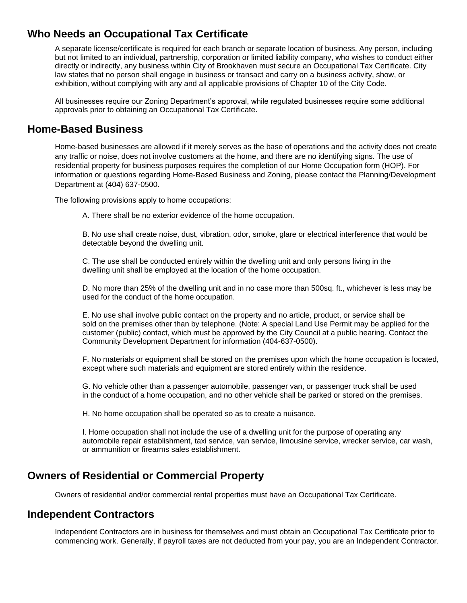## **Who Needs an Occupational Tax Certificate**

A separate license/certificate is required for each branch or separate location of business. Any person, including but not limited to an individual, partnership, corporation or limited liability company, who wishes to conduct either directly or indirectly, any business within City of Brookhaven must secure an Occupational Tax Certificate. City law states that no person shall engage in business or transact and carry on a business activity, show, or exhibition, without complying with any and all applicable provisions of Chapter 10 of the City Code.

All businesses require our Zoning Department's approval, while regulated businesses require some additional approvals prior to obtaining an Occupational Tax Certificate.

## **Home-Based Business**

Home-based businesses are allowed if it merely serves as the base of operations and the activity does not create any traffic or noise, does not involve customers at the home, and there are no identifying signs. The use of residential property for business purposes requires the completion of our Home Occupation form (HOP). For information or questions regarding Home-Based Business and Zoning, please contact the Planning/Development Department at (404) 637-0500.

The following provisions apply to home occupations:

A. There shall be no exterior evidence of the home occupation.

B. No use shall create noise, dust, vibration, odor, smoke, glare or electrical interference that would be detectable beyond the dwelling unit.

C. The use shall be conducted entirely within the dwelling unit and only persons living in the dwelling unit shall be employed at the location of the home occupation.

D. No more than 25% of the dwelling unit and in no case more than 500sq. ft., whichever is less may be used for the conduct of the home occupation.

E. No use shall involve public contact on the property and no article, product, or service shall be sold on the premises other than by telephone. (Note: A special Land Use Permit may be applied for the customer (public) contact, which must be approved by the City Council at a public hearing. Contact the Community Development Department for information (404-637-0500).

F. No materials or equipment shall be stored on the premises upon which the home occupation is located, except where such materials and equipment are stored entirely within the residence.

G. No vehicle other than a passenger automobile, passenger van, or passenger truck shall be used in the conduct of a home occupation, and no other vehicle shall be parked or stored on the premises.

H. No home occupation shall be operated so as to create a nuisance.

I. Home occupation shall not include the use of a dwelling unit for the purpose of operating any automobile repair establishment, taxi service, van service, limousine service, wrecker service, car wash, or ammunition or firearms sales establishment.

## **Owners of Residential or Commercial Property**

Owners of residential and/or commercial rental properties must have an Occupational Tax Certificate.

### **Independent Contractors**

Independent Contractors are in business for themselves and must obtain an Occupational Tax Certificate prior to commencing work. Generally, if payroll taxes are not deducted from your pay, you are an Independent Contractor.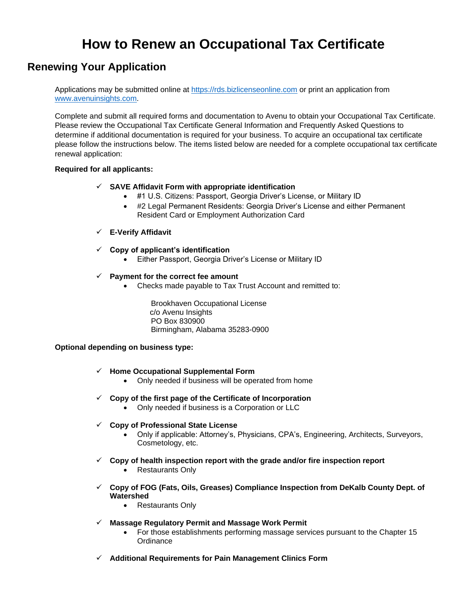# **How to Renew an Occupational Tax Certificate**

## **Renewing Your Application**

Applications may be submitted online at [https://rds.bizlicenseonline.com](https://rds.bizlicenseonline.com/) or print an application from [www.avenuinsights.com.](http://www.avenuinsights.com/)

Complete and submit all required forms and documentation to Avenu to obtain your Occupational Tax Certificate. Please review the Occupational Tax Certificate General Information and Frequently Asked Questions to determine if additional documentation is required for your business. To acquire an occupational tax certificate please follow the instructions below. The items listed below are needed for a complete occupational tax certificate renewal application:

#### **Required for all applicants:**

- ✓ **SAVE Affidavit Form with appropriate identification**
	- #1 U.S. Citizens: Passport, Georgia Driver's License, or Military ID
	- #2 Legal Permanent Residents: Georgia Driver's License and either Permanent Resident Card or Employment Authorization Card

#### ✓ **E-Verify Affidavit**

- ✓ **Copy of applicant's identification**
	- Either Passport, Georgia Driver's License or Military ID

#### ✓ **Payment for the correct fee amount**

• Checks made payable to Tax Trust Account and remitted to:

Brookhaven Occupational License c/o Avenu Insights PO Box 830900 Birmingham, Alabama 35283-0900

#### **Optional depending on business type:**

#### ✓ **Home Occupational Supplemental Form**

- Only needed if business will be operated from home
- ✓ **Copy of the first page of the Certificate of Incorporation**
	- Only needed if business is a Corporation or LLC
- ✓ **Copy of Professional State License**
	- Only if applicable: Attorney's, Physicians, CPA's, Engineering, Architects, Surveyors, Cosmetology, etc.
- ✓ **Copy of health inspection report with the grade and/or fire inspection report**
	- Restaurants Only
- ✓ **Copy of FOG (Fats, Oils, Greases) Compliance Inspection from DeKalb County Dept. of Watershed**
	- Restaurants Only
- ✓ **Massage Regulatory Permit and Massage Work Permit**
	- For those establishments performing massage services pursuant to the Chapter 15 **Ordinance**
- ✓ **Additional Requirements for Pain Management Clinics Form**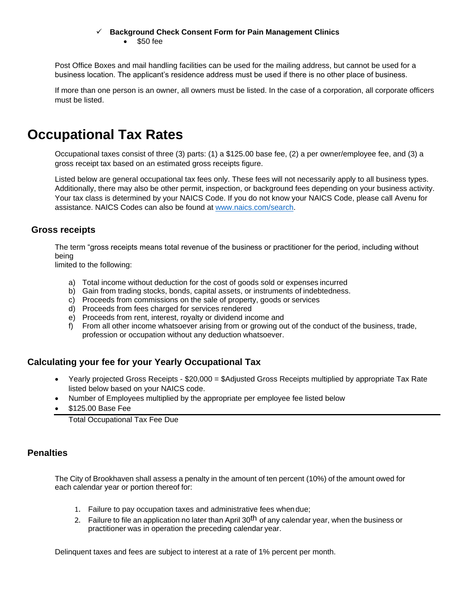#### ✓ **Background Check Consent Form for Pain Management Clinics**

• \$50 fee

Post Office Boxes and mail handling facilities can be used for the mailing address, but cannot be used for a business location. The applicant's residence address must be used if there is no other place of business.

If more than one person is an owner, all owners must be listed. In the case of a corporation, all corporate officers must be listed.

# **Occupational Tax Rates**

Occupational taxes consist of three (3) parts: (1) a \$125.00 base fee, (2) a per owner/employee fee, and (3) a gross receipt tax based on an estimated gross receipts figure.

Listed below are general occupational tax fees only. These fees will not necessarily apply to all business types. Additionally, there may also be other permit, inspection, or background fees depending on your business activity. Your tax class is determined by your NAICS Code. If you do not know your NAICS Code, please call Avenu for assistance. NAICS Codes can also be found at [www.naics.com/search.](http://www.naics.com/search)

### **Gross receipts**

The term "gross receipts means total revenue of the business or practitioner for the period, including without being

limited to the following:

- a) Total income without deduction for the cost of goods sold or expenses incurred
- b) Gain from trading stocks, bonds, capital assets, or instruments of indebtedness.
- c) Proceeds from commissions on the sale of property, goods or services
- d) Proceeds from fees charged for services rendered
- e) Proceeds from rent, interest, royalty or dividend income and
- f) From all other income whatsoever arising from or growing out of the conduct of the business, trade, profession or occupation without any deduction whatsoever.

### **Calculating your fee for your Yearly Occupational Tax**

- Yearly projected Gross Receipts \$20,000 = \$Adjusted Gross Receipts multiplied by appropriate Tax Rate listed below based on your NAICS code.
- Number of Employees multiplied by the appropriate per employee fee listed below
- \$125.00 Base Fee

Total Occupational Tax Fee Due

### **Penalties**

The City of Brookhaven shall assess a penalty in the amount of ten percent (10%) of the amount owed for each calendar year or portion thereof for:

- 1. Failure to pay occupation taxes and administrative fees whendue;
- 2. Failure to file an application no later than April 30<sup>th</sup> of any calendar year, when the business or practitioner was in operation the preceding calendar year.

Delinquent taxes and fees are subject to interest at a rate of 1% percent per month.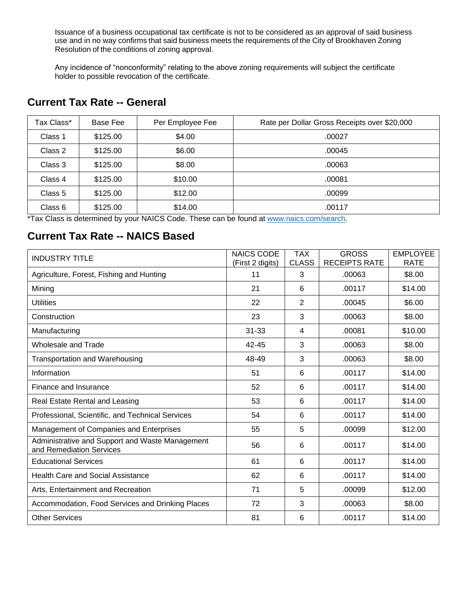Issuance of a business occupational tax certificate is not to be considered as an approval of said business use and in no way confirms that said business meets the requirements of the City of Brookhaven Zoning Resolution of the conditions of zoning approval.

Any incidence of "nonconformity" relating to the above zoning requirements will subject the certificate holder to possible revocation of the certificate.

## **Current Tax Rate -- General**

| Tax Class* | Base Fee | Per Employee Fee | Rate per Dollar Gross Receipts over \$20,000 |
|------------|----------|------------------|----------------------------------------------|
| Class 1    | \$125.00 | \$4.00           | .00027                                       |
| Class 2    | \$125.00 | \$6.00           | .00045                                       |
| Class 3    | \$125.00 | \$8.00           | .00063                                       |
| Class 4    | \$125.00 | \$10.00          | .00081                                       |
| Class 5    | \$125.00 | \$12.00          | .00099                                       |
| Class 6    | \$125.00 | \$14.00          | .00117                                       |

\*Tax Class is determined by your NAICS Code. These can be found at [www.naics.com/search.](http://www.naics.com/search)

## **Current Tax Rate -- NAICS Based**

| <b>INDUSTRY TITLE</b>                                                       | <b>NAICS CODE</b> | <b>TAX</b>     | <b>GROSS</b>         | <b>EMPLOYEE</b> |
|-----------------------------------------------------------------------------|-------------------|----------------|----------------------|-----------------|
|                                                                             | (First 2 digits)  | <b>CLASS</b>   | <b>RECEIPTS RATE</b> | <b>RATE</b>     |
| Agriculture, Forest, Fishing and Hunting                                    | 11                | 3              | .00063               | \$8.00          |
| Mining                                                                      | 21                | 6              | .00117               | \$14.00         |
| <b>Utilities</b>                                                            | 22                | $\overline{2}$ | .00045               | \$6.00          |
| Construction                                                                | 23                | 3              | .00063               | \$8.00          |
| Manufacturing                                                               | $31 - 33$         | 4              | .00081               | \$10.00         |
| Wholesale and Trade                                                         | 42-45             | 3              | .00063               | \$8.00          |
| <b>Transportation and Warehousing</b>                                       | 48-49             | 3              | .00063               | \$8.00          |
| Information                                                                 | 51                | 6              | .00117               | \$14.00         |
| Finance and Insurance                                                       | 52                | 6              | .00117               | \$14.00         |
| Real Estate Rental and Leasing                                              | 53                | 6              | .00117               | \$14.00         |
| Professional, Scientific, and Technical Services                            | 54                | 6              | .00117               | \$14.00         |
| Management of Companies and Enterprises                                     | 55                | 5              | .00099               | \$12.00         |
| Administrative and Support and Waste Management<br>and Remediation Services | 56                | 6              | .00117               | \$14.00         |
| <b>Educational Services</b>                                                 | 61                | 6              | .00117               | \$14.00         |
| <b>Health Care and Social Assistance</b>                                    | 62                | 6              | .00117               | \$14.00         |
| Arts, Entertainment and Recreation                                          | 71                | 5              | .00099               | \$12.00         |
| Accommodation, Food Services and Drinking Places                            | 72                | 3              | .00063               | \$8.00          |
| <b>Other Services</b>                                                       | 81                | 6              | .00117               | \$14.00         |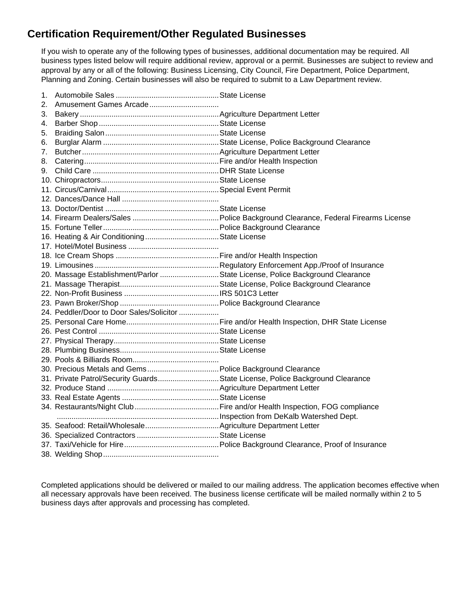## **Certification Requirement/Other Regulated Businesses**

If you wish to operate any of the following types of businesses, additional documentation may be required. All business types listed below will require additional review, approval or a permit. Businesses are subject to review and approval by any or all of the following: Business Licensing, City Council, Fire Department, Police Department, Planning and Zoning. Certain businesses will also be required to submit to a Law Department review.

| 1. |                                                                              |  |
|----|------------------------------------------------------------------------------|--|
| 2. |                                                                              |  |
| 3. |                                                                              |  |
| 4. |                                                                              |  |
| 5. |                                                                              |  |
| 6. |                                                                              |  |
| 7. |                                                                              |  |
| 8. |                                                                              |  |
| 9. |                                                                              |  |
|    |                                                                              |  |
|    |                                                                              |  |
|    |                                                                              |  |
|    |                                                                              |  |
|    |                                                                              |  |
|    |                                                                              |  |
|    |                                                                              |  |
|    |                                                                              |  |
|    |                                                                              |  |
|    |                                                                              |  |
|    | 20. Massage Establishment/Parlor State License, Police Background Clearance  |  |
|    |                                                                              |  |
|    |                                                                              |  |
|    |                                                                              |  |
|    | 24. Peddler/Door to Door Sales/Solicitor                                     |  |
|    |                                                                              |  |
|    |                                                                              |  |
|    |                                                                              |  |
|    |                                                                              |  |
|    |                                                                              |  |
|    |                                                                              |  |
|    | 31. Private Patrol/Security GuardsState License, Police Background Clearance |  |
|    |                                                                              |  |
|    |                                                                              |  |
|    |                                                                              |  |
|    |                                                                              |  |
|    |                                                                              |  |
|    |                                                                              |  |
|    |                                                                              |  |
|    |                                                                              |  |

Completed applications should be delivered or mailed to our mailing address. The application becomes effective when all necessary approvals have been received. The business license certificate will be mailed normally within 2 to 5 business days after approvals and processing has completed.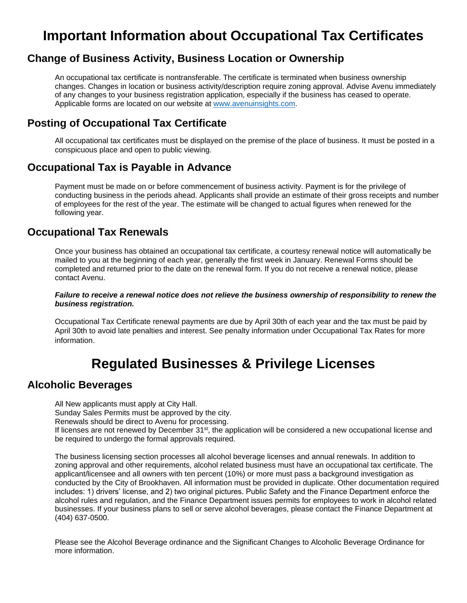# **Important Information about Occupational Tax Certificates**

## **Change of Business Activity, Business Location or Ownership**

An occupational tax certificate is nontransferable. The certificate is terminated when business ownership changes. Changes in location or business activity/description require zoning approval. Advise Avenu immediately of any changes to your business registration application, especially if the business has ceased to operate. Applicable forms are located on our website at [www.avenuinsights.com.](http://www.avenuinsights.com/)

## **Posting of Occupational Tax Certificate**

All occupational tax certificates must be displayed on the premise of the place of business. It must be posted in a conspicuous place and open to public viewing.

### **Occupational Tax is Payable in Advance**

Payment must be made on or before commencement of business activity. Payment is for the privilege of conducting business in the periods ahead. Applicants shall provide an estimate of their gross receipts and number of employees for the rest of the year. The estimate will be changed to actual figures when renewed for the following year.

### **Occupational Tax Renewals**

Once your business has obtained an occupational tax certificate, a courtesy renewal notice will automatically be mailed to you at the beginning of each year, generally the first week in January. Renewal Forms should be completed and returned prior to the date on the renewal form. If you do not receive a renewal notice, please contact Avenu.

#### *Failure to receive a renewal notice does not relieve the business ownership of responsibility to renew the business registration.*

Occupational Tax Certificate renewal payments are due by April 30th of each year and the tax must be paid by April 30th to avoid late penalties and interest. See penalty information under Occupational Tax Rates for more information.

# **Regulated Businesses & Privilege Licenses**

### **Alcoholic Beverages**

All New applicants must apply at City Hall. Sunday Sales Permits must be approved by the city. Renewals should be direct to Avenu for processing. If licenses are not renewed by December 31<sup>st</sup>, the application will be considered a new occupational license and be required to undergo the formal approvals required.

The business licensing section processes all alcohol beverage licenses and annual renewals. In addition to zoning approval and other requirements, alcohol related business must have an occupational tax certificate. The applicant/licensee and all owners with ten percent (10%) or more must pass a background investigation as conducted by the City of Brookhaven. All information must be provided in duplicate. Other documentation required includes: 1) drivers' license, and 2) two original pictures. Public Safety and the Finance Department enforce the alcohol rules and regulation, and the Finance Department issues permits for employees to work in alcohol related businesses. If your business plans to sell or serve alcohol beverages, please contact the Finance Department at (404) 637-0500.

Please see the Alcohol Beverage ordinance and the Significant Changes to Alcoholic Beverage Ordinance for more information.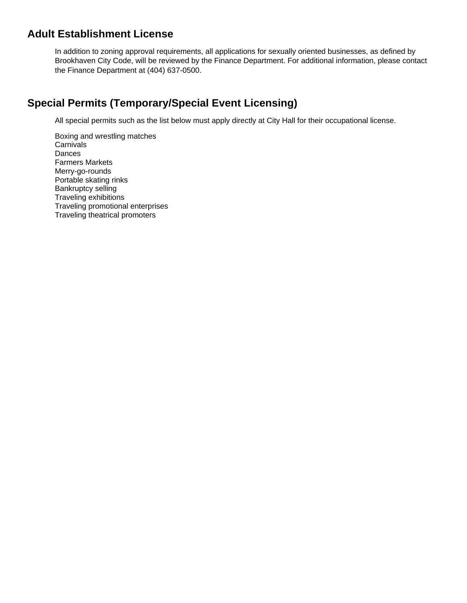## **Adult Establishment License**

In addition to zoning approval requirements, all applications for sexually oriented businesses, as defined by Brookhaven City Code, will be reviewed by the Finance Department. For additional information, please contact the Finance Department at (404) 637-0500.

## **Special Permits (Temporary/Special Event Licensing)**

All special permits such as the list below must apply directly at City Hall for their occupational license.

Boxing and wrestling matches **Carnivals** Dances Farmers Markets Merry-go-rounds Portable skating rinks Bankruptcy selling Traveling exhibitions Traveling promotional enterprises Traveling theatrical promoters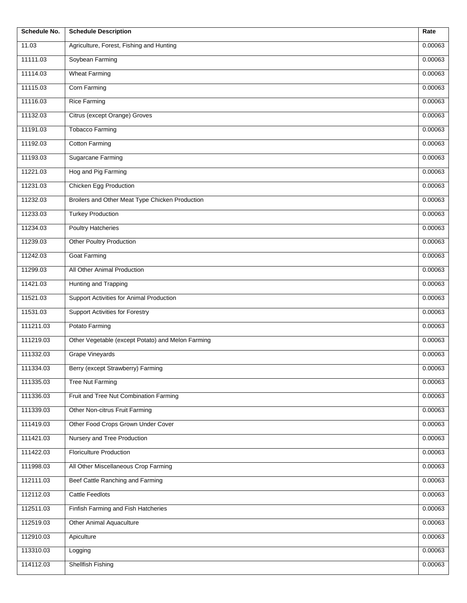| <b>Schedule No.</b> | <b>Schedule Description</b>                       | Rate    |
|---------------------|---------------------------------------------------|---------|
| 11.03               | Agriculture, Forest, Fishing and Hunting          | 0.00063 |
| 11111.03            | Soybean Farming                                   | 0.00063 |
| 11114.03            | <b>Wheat Farming</b>                              | 0.00063 |
| 11115.03            | Corn Farming                                      | 0.00063 |
| 11116.03            | <b>Rice Farming</b>                               | 0.00063 |
| 11132.03            | Citrus (except Orange) Groves                     | 0.00063 |
| 11191.03            | <b>Tobacco Farming</b>                            | 0.00063 |
| 11192.03            | <b>Cotton Farming</b>                             | 0.00063 |
| 11193.03            | Sugarcane Farming                                 | 0.00063 |
| 11221.03            | Hog and Pig Farming                               | 0.00063 |
| 11231.03            | <b>Chicken Egg Production</b>                     | 0.00063 |
| 11232.03            | Broilers and Other Meat Type Chicken Production   | 0.00063 |
| 11233.03            | <b>Turkey Production</b>                          | 0.00063 |
| 11234.03            | <b>Poultry Hatcheries</b>                         | 0.00063 |
| 11239.03            | <b>Other Poultry Production</b>                   | 0.00063 |
| 11242.03            | Goat Farming                                      | 0.00063 |
| 11299.03            | All Other Animal Production                       | 0.00063 |
| 11421.03            | Hunting and Trapping                              | 0.00063 |
| 11521.03            | Support Activities for Animal Production          | 0.00063 |
| 11531.03            | <b>Support Activities for Forestry</b>            | 0.00063 |
| 111211.03           | Potato Farming                                    | 0.00063 |
| 111219.03           | Other Vegetable (except Potato) and Melon Farming | 0.00063 |
| 111332.03           | <b>Grape Vineyards</b>                            | 0.00063 |
| 111334.03           | Berry (except Strawberry) Farming                 | 0.00063 |
| 111335.03           | <b>Tree Nut Farming</b>                           | 0.00063 |
| 111336.03           | Fruit and Tree Nut Combination Farming            | 0.00063 |
| 111339.03           | Other Non-citrus Fruit Farming                    | 0.00063 |
| 111419.03           | Other Food Crops Grown Under Cover                | 0.00063 |
| 111421.03           | Nursery and Tree Production                       | 0.00063 |
| 111422.03           | <b>Floriculture Production</b>                    | 0.00063 |
| 111998.03           | All Other Miscellaneous Crop Farming              | 0.00063 |
| 112111.03           | Beef Cattle Ranching and Farming                  | 0.00063 |
| 112112.03           | <b>Cattle Feedlots</b>                            | 0.00063 |
| 112511.03           | Finfish Farming and Fish Hatcheries               | 0.00063 |
| 112519.03           | Other Animal Aquaculture                          | 0.00063 |
| 112910.03           | Apiculture                                        | 0.00063 |
| 113310.03           | Logging                                           | 0.00063 |
| 114112.03           | <b>Shellfish Fishing</b>                          | 0.00063 |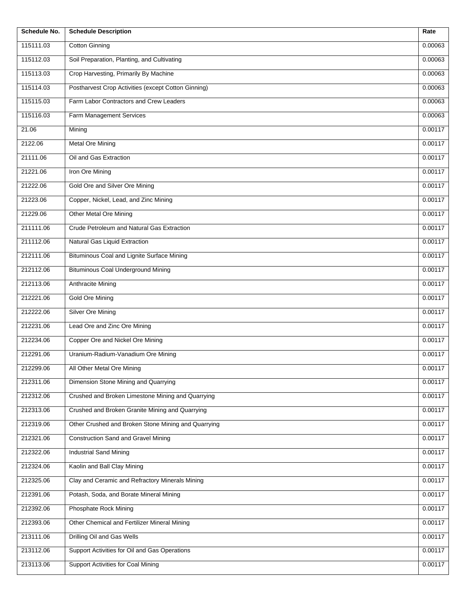| Schedule No. | <b>Schedule Description</b>                         | Rate    |
|--------------|-----------------------------------------------------|---------|
| 115111.03    | <b>Cotton Ginning</b>                               | 0.00063 |
| 115112.03    | Soil Preparation, Planting, and Cultivating         | 0.00063 |
| 115113.03    | Crop Harvesting, Primarily By Machine               | 0.00063 |
| 115114.03    | Postharvest Crop Activities (except Cotton Ginning) | 0.00063 |
| 115115.03    | Farm Labor Contractors and Crew Leaders             | 0.00063 |
| 115116.03    | Farm Management Services                            | 0.00063 |
| 21.06        | Mining                                              | 0.00117 |
| 2122.06      | <b>Metal Ore Mining</b>                             | 0.00117 |
| 21111.06     | Oil and Gas Extraction                              | 0.00117 |
| 21221.06     | Iron Ore Mining                                     | 0.00117 |
| 21222.06     | Gold Ore and Silver Ore Mining                      | 0.00117 |
| 21223.06     | Copper, Nickel, Lead, and Zinc Mining               | 0.00117 |
| 21229.06     | <b>Other Metal Ore Mining</b>                       | 0.00117 |
| 211111.06    | Crude Petroleum and Natural Gas Extraction          | 0.00117 |
| 211112.06    | Natural Gas Liquid Extraction                       | 0.00117 |
| 212111.06    | Bituminous Coal and Lignite Surface Mining          | 0.00117 |
| 212112.06    | <b>Bituminous Coal Underground Mining</b>           | 0.00117 |
| 212113.06    | Anthracite Mining                                   | 0.00117 |
| 212221.06    | <b>Gold Ore Mining</b>                              | 0.00117 |
| 212222.06    | <b>Silver Ore Mining</b>                            | 0.00117 |
| 212231.06    | Lead Ore and Zinc Ore Mining                        | 0.00117 |
| 212234.06    | Copper Ore and Nickel Ore Mining                    | 0.00117 |
| 212291.06    | Uranium-Radium-Vanadium Ore Mining                  | 0.00117 |
| 212299.06    | All Other Metal Ore Mining                          | 0.00117 |
| 212311.06    | Dimension Stone Mining and Quarrying                | 0.00117 |
| 212312.06    | Crushed and Broken Limestone Mining and Quarrying   | 0.00117 |
| 212313.06    | Crushed and Broken Granite Mining and Quarrying     | 0.00117 |
| 212319.06    | Other Crushed and Broken Stone Mining and Quarrying | 0.00117 |
| 212321.06    | <b>Construction Sand and Gravel Mining</b>          | 0.00117 |
| 212322.06    | <b>Industrial Sand Mining</b>                       | 0.00117 |
| 212324.06    | Kaolin and Ball Clay Mining                         | 0.00117 |
| 212325.06    | Clay and Ceramic and Refractory Minerals Mining     | 0.00117 |
| 212391.06    | Potash, Soda, and Borate Mineral Mining             | 0.00117 |
| 212392.06    | Phosphate Rock Mining                               | 0.00117 |
| 212393.06    | Other Chemical and Fertilizer Mineral Mining        | 0.00117 |
| 213111.06    | Drilling Oil and Gas Wells                          | 0.00117 |
| 213112.06    | Support Activities for Oil and Gas Operations       | 0.00117 |
| 213113.06    | Support Activities for Coal Mining                  | 0.00117 |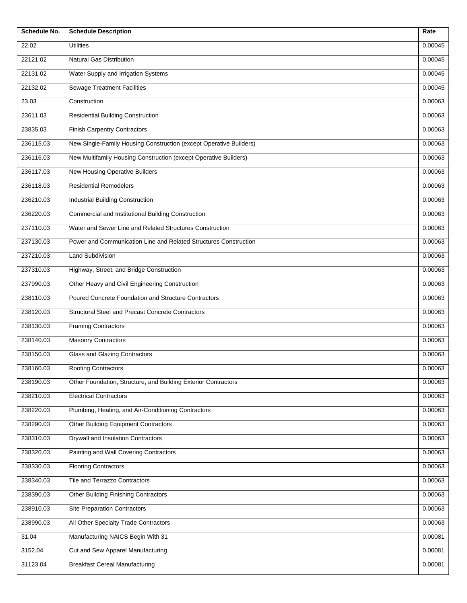| Schedule No. | <b>Schedule Description</b>                                        | Rate    |
|--------------|--------------------------------------------------------------------|---------|
| 22.02        | <b>Utilities</b>                                                   | 0.00045 |
| 22121.02     | <b>Natural Gas Distribution</b>                                    | 0.00045 |
| 22131.02     | Water Supply and Irrigation Systems                                | 0.00045 |
| 22132.02     | <b>Sewage Treatment Facilities</b>                                 | 0.00045 |
| 23.03        | Construction                                                       | 0.00063 |
| 23611.03     | <b>Residential Building Construction</b>                           | 0.00063 |
| 23835.03     | <b>Finish Carpentry Contractors</b>                                | 0.00063 |
| 236115.03    | New Single-Family Housing Construction (except Operative Builders) | 0.00063 |
| 236116.03    | New Multifamily Housing Construction (except Operative Builders)   | 0.00063 |
| 236117.03    | New Housing Operative Builders                                     | 0.00063 |
| 236118.03    | <b>Residential Remodelers</b>                                      | 0.00063 |
| 236210.03    | <b>Industrial Building Construction</b>                            | 0.00063 |
| 236220.03    | Commercial and Institutional Building Construction                 | 0.00063 |
| 237110.03    | Water and Sewer Line and Related Structures Construction           | 0.00063 |
| 237130.03    | Power and Communication Line and Related Structures Construction   | 0.00063 |
| 237210.03    | <b>Land Subdivision</b>                                            | 0.00063 |
| 237310.03    | Highway, Street, and Bridge Construction                           | 0.00063 |
| 237990.03    | Other Heavy and Civil Engineering Construction                     | 0.00063 |
| 238110.03    | Poured Concrete Foundation and Structure Contractors               | 0.00063 |
| 238120.03    | Structural Steel and Precast Concrete Contractors                  | 0.00063 |
| 238130.03    | <b>Framing Contractors</b>                                         | 0.00063 |
| 238140.03    | <b>Masonry Contractors</b>                                         | 0.00063 |
| 238150.03    | Glass and Glazing Contractors                                      | 0.00063 |
| 238160.03    | Roofing Contractors                                                | 0.00063 |
| 238190.03    | Other Foundation, Structure, and Building Exterior Contractors     | 0.00063 |
| 238210.03    | <b>Electrical Contractors</b>                                      | 0.00063 |
| 238220.03    | Plumbing, Heating, and Air-Conditioning Contractors                | 0.00063 |
| 238290.03    | Other Building Equipment Contractors                               | 0.00063 |
| 238310.03    | Drywall and Insulation Contractors                                 | 0.00063 |
| 238320.03    | Painting and Wall Covering Contractors                             | 0.00063 |
| 238330.03    | <b>Flooring Contractors</b>                                        | 0.00063 |
| 238340.03    | Tile and Terrazzo Contractors                                      | 0.00063 |
| 238390.03    | Other Building Finishing Contractors                               | 0.00063 |
| 238910.03    | <b>Site Preparation Contractors</b>                                | 0.00063 |
| 238990.03    | All Other Specialty Trade Contractors                              | 0.00063 |
| 31.04        | Manufacturing NAICS Begin With 31                                  | 0.00081 |
| 3152.04      | Cut and Sew Apparel Manufacturing                                  | 0.00081 |
| 31123.04     | <b>Breakfast Cereal Manufacturing</b>                              | 0.00081 |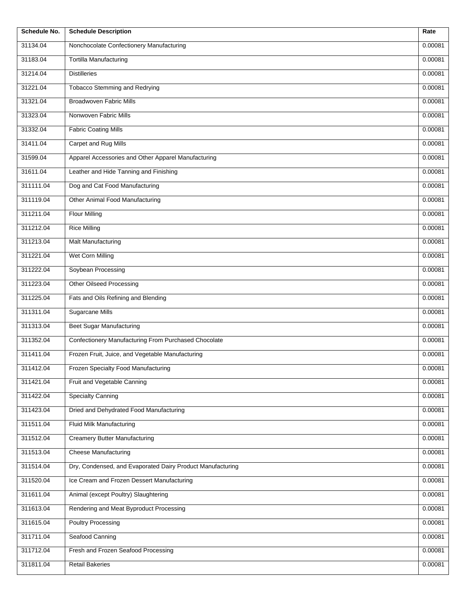| Schedule No. | <b>Schedule Description</b>                                | Rate    |
|--------------|------------------------------------------------------------|---------|
| 31134.04     | Nonchocolate Confectionery Manufacturing                   | 0.00081 |
| 31183.04     | Tortilla Manufacturing                                     | 0.00081 |
| 31214.04     | <b>Distilleries</b>                                        | 0.00081 |
| 31221.04     | <b>Tobacco Stemming and Redrying</b>                       | 0.00081 |
| 31321.04     | <b>Broadwoven Fabric Mills</b>                             | 0.00081 |
| 31323.04     | Nonwoven Fabric Mills                                      | 0.00081 |
| 31332.04     | <b>Fabric Coating Mills</b>                                | 0.00081 |
| 31411.04     | Carpet and Rug Mills                                       | 0.00081 |
| 31599.04     | Apparel Accessories and Other Apparel Manufacturing        | 0.00081 |
| 31611.04     | Leather and Hide Tanning and Finishing                     | 0.00081 |
| 311111.04    | Dog and Cat Food Manufacturing                             | 0.00081 |
| 311119.04    | Other Animal Food Manufacturing                            | 0.00081 |
| 311211.04    | <b>Flour Milling</b>                                       | 0.00081 |
| 311212.04    | <b>Rice Milling</b>                                        | 0.00081 |
| 311213.04    | Malt Manufacturing                                         | 0.00081 |
| 311221.04    | Wet Corn Milling                                           | 0.00081 |
| 311222.04    | Soybean Processing                                         | 0.00081 |
| 311223.04    | <b>Other Oilseed Processing</b>                            | 0.00081 |
| 311225.04    | Fats and Oils Refining and Blending                        | 0.00081 |
| 311311.04    | <b>Sugarcane Mills</b>                                     | 0.00081 |
| 311313.04    | <b>Beet Sugar Manufacturing</b>                            | 0.00081 |
| 311352.04    | Confectionery Manufacturing From Purchased Chocolate       | 0.00081 |
| 311411.04    | Frozen Fruit, Juice, and Vegetable Manufacturing           | 0.00081 |
| 311412.04    | Frozen Specialty Food Manufacturing                        | 0.00081 |
| 311421.04    | Fruit and Vegetable Canning                                | 0.00081 |
| 311422.04    | <b>Specialty Canning</b>                                   | 0.00081 |
| 311423.04    | Dried and Dehydrated Food Manufacturing                    | 0.00081 |
| 311511.04    | Fluid Milk Manufacturing                                   | 0.00081 |
| 311512.04    | <b>Creamery Butter Manufacturing</b>                       | 0.00081 |
| 311513.04    | <b>Cheese Manufacturing</b>                                | 0.00081 |
| 311514.04    | Dry, Condensed, and Evaporated Dairy Product Manufacturing | 0.00081 |
| 311520.04    | Ice Cream and Frozen Dessert Manufacturing                 | 0.00081 |
| 311611.04    | Animal (except Poultry) Slaughtering                       | 0.00081 |
| 311613.04    | Rendering and Meat Byproduct Processing                    | 0.00081 |
| 311615.04    | <b>Poultry Processing</b>                                  | 0.00081 |
| 311711.04    | Seafood Canning                                            | 0.00081 |
| 311712.04    | Fresh and Frozen Seafood Processing                        | 0.00081 |
| 311811.04    | <b>Retail Bakeries</b>                                     | 0.00081 |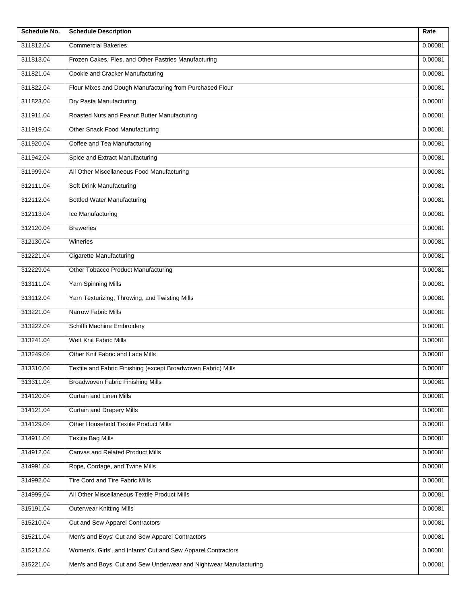| Schedule No. | <b>Schedule Description</b>                                       | Rate    |
|--------------|-------------------------------------------------------------------|---------|
| 311812.04    | <b>Commercial Bakeries</b>                                        | 0.00081 |
| 311813.04    | Frozen Cakes, Pies, and Other Pastries Manufacturing              | 0.00081 |
| 311821.04    | Cookie and Cracker Manufacturing                                  | 0.00081 |
| 311822.04    | Flour Mixes and Dough Manufacturing from Purchased Flour          | 0.00081 |
| 311823.04    | Dry Pasta Manufacturing                                           | 0.00081 |
| 311911.04    | Roasted Nuts and Peanut Butter Manufacturing                      | 0.00081 |
| 311919.04    | Other Snack Food Manufacturing                                    | 0.00081 |
| 311920.04    | Coffee and Tea Manufacturing                                      | 0.00081 |
| 311942.04    | Spice and Extract Manufacturing                                   | 0.00081 |
| 311999.04    | All Other Miscellaneous Food Manufacturing                        | 0.00081 |
| 312111.04    | Soft Drink Manufacturing                                          | 0.00081 |
| 312112.04    | <b>Bottled Water Manufacturing</b>                                | 0.00081 |
| 312113.04    | Ice Manufacturing                                                 | 0.00081 |
| 312120.04    | <b>Breweries</b>                                                  | 0.00081 |
| 312130.04    | Wineries                                                          | 0.00081 |
| 312221.04    | <b>Cigarette Manufacturing</b>                                    | 0.00081 |
| 312229.04    | Other Tobacco Product Manufacturing                               | 0.00081 |
| 313111.04    | Yarn Spinning Mills                                               | 0.00081 |
| 313112.04    | Yarn Texturizing, Throwing, and Twisting Mills                    | 0.00081 |
| 313221.04    | Narrow Fabric Mills                                               | 0.00081 |
| 313222.04    | Schiffli Machine Embroidery                                       | 0.00081 |
| 313241.04    | Weft Knit Fabric Mills                                            | 0.00081 |
| 313249.04    | Other Knit Fabric and Lace Mills                                  | 0.00081 |
| 313310.04    | Textile and Fabric Finishing (except Broadwoven Fabric) Mills     | 0.00081 |
| 313311.04    | <b>Broadwoven Fabric Finishing Mills</b>                          | 0.00081 |
| 314120.04    | <b>Curtain and Linen Mills</b>                                    | 0.00081 |
| 314121.04    | <b>Curtain and Drapery Mills</b>                                  | 0.00081 |
| 314129.04    | Other Household Textile Product Mills                             | 0.00081 |
| 314911.04    | <b>Textile Bag Mills</b>                                          | 0.00081 |
| 314912.04    | Canvas and Related Product Mills                                  | 0.00081 |
| 314991.04    | Rope, Cordage, and Twine Mills                                    | 0.00081 |
| 314992.04    | Tire Cord and Tire Fabric Mills                                   | 0.00081 |
| 314999.04    | All Other Miscellaneous Textile Product Mills                     | 0.00081 |
| 315191.04    | Outerwear Knitting Mills                                          | 0.00081 |
| 315210.04    | Cut and Sew Apparel Contractors                                   | 0.00081 |
| 315211.04    | Men's and Boys' Cut and Sew Apparel Contractors                   | 0.00081 |
| 315212.04    | Women's, Girls', and Infants' Cut and Sew Apparel Contractors     | 0.00081 |
| 315221.04    | Men's and Boys' Cut and Sew Underwear and Nightwear Manufacturing | 0.00081 |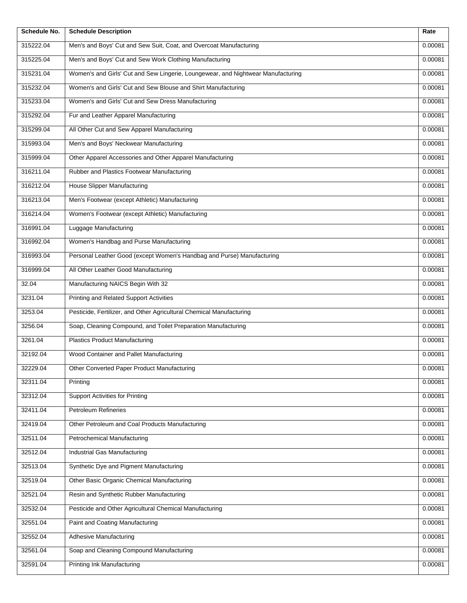| Schedule No. | <b>Schedule Description</b>                                                      | Rate    |
|--------------|----------------------------------------------------------------------------------|---------|
| 315222.04    | Men's and Boys' Cut and Sew Suit, Coat, and Overcoat Manufacturing               | 0.00081 |
| 315225.04    | Men's and Boys' Cut and Sew Work Clothing Manufacturing                          | 0.00081 |
| 315231.04    | Women's and Girls' Cut and Sew Lingerie, Loungewear, and Nightwear Manufacturing | 0.00081 |
| 315232.04    | Women's and Girls' Cut and Sew Blouse and Shirt Manufacturing                    | 0.00081 |
| 315233.04    | Women's and Girls' Cut and Sew Dress Manufacturing                               | 0.00081 |
| 315292.04    | Fur and Leather Apparel Manufacturing                                            | 0.00081 |
| 315299.04    | All Other Cut and Sew Apparel Manufacturing                                      | 0.00081 |
| 315993.04    | Men's and Boys' Neckwear Manufacturing                                           | 0.00081 |
| 315999.04    | Other Apparel Accessories and Other Apparel Manufacturing                        | 0.00081 |
| 316211.04    | Rubber and Plastics Footwear Manufacturing                                       | 0.00081 |
| 316212.04    | <b>House Slipper Manufacturing</b>                                               | 0.00081 |
| 316213.04    | Men's Footwear (except Athletic) Manufacturing                                   | 0.00081 |
| 316214.04    | Women's Footwear (except Athletic) Manufacturing                                 | 0.00081 |
| 316991.04    | Luggage Manufacturing                                                            | 0.00081 |
| 316992.04    | Women's Handbag and Purse Manufacturing                                          | 0.00081 |
| 316993.04    | Personal Leather Good (except Women's Handbag and Purse) Manufacturing           | 0.00081 |
| 316999.04    | All Other Leather Good Manufacturing                                             | 0.00081 |
| 32.04        | Manufacturing NAICS Begin With 32                                                | 0.00081 |
| 3231.04      | <b>Printing and Related Support Activities</b>                                   | 0.00081 |
| 3253.04      | Pesticide, Fertilizer, and Other Agricultural Chemical Manufacturing             | 0.00081 |
| 3256.04      | Soap, Cleaning Compound, and Toilet Preparation Manufacturing                    | 0.00081 |
| 3261.04      | <b>Plastics Product Manufacturing</b>                                            | 0.00081 |
| 32192.04     | Wood Container and Pallet Manufacturing                                          | 0.00081 |
| 32229.04     | Other Converted Paper Product Manufacturing                                      | 0.00081 |
| 32311.04     | Printing                                                                         | 0.00081 |
| 32312.04     | <b>Support Activities for Printing</b>                                           | 0.00081 |
| 32411.04     | Petroleum Refineries                                                             | 0.00081 |
| 32419.04     | Other Petroleum and Coal Products Manufacturing                                  | 0.00081 |
| 32511.04     | Petrochemical Manufacturing                                                      | 0.00081 |
| 32512.04     | Industrial Gas Manufacturing                                                     | 0.00081 |
| 32513.04     | Synthetic Dye and Pigment Manufacturing                                          | 0.00081 |
| 32519.04     | Other Basic Organic Chemical Manufacturing                                       | 0.00081 |
| 32521.04     | Resin and Synthetic Rubber Manufacturing                                         | 0.00081 |
| 32532.04     | Pesticide and Other Agricultural Chemical Manufacturing                          | 0.00081 |
| 32551.04     | Paint and Coating Manufacturing                                                  | 0.00081 |
| 32552.04     | Adhesive Manufacturing                                                           | 0.00081 |
| 32561.04     | Soap and Cleaning Compound Manufacturing                                         | 0.00081 |
| 32591.04     | <b>Printing Ink Manufacturing</b>                                                | 0.00081 |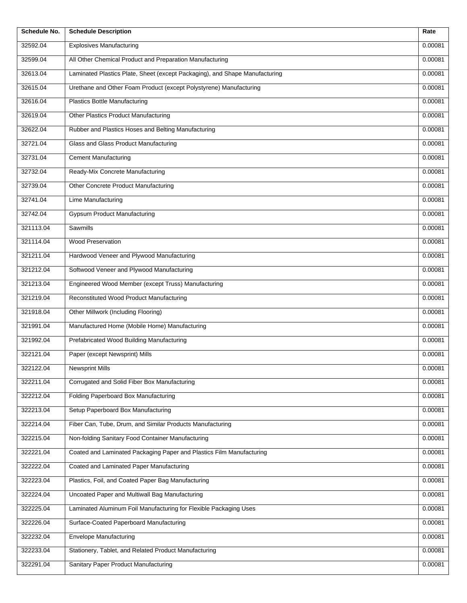| Schedule No. | <b>Schedule Description</b>                                                 | Rate    |
|--------------|-----------------------------------------------------------------------------|---------|
| 32592.04     | <b>Explosives Manufacturing</b>                                             | 0.00081 |
| 32599.04     | All Other Chemical Product and Preparation Manufacturing                    | 0.00081 |
| 32613.04     | Laminated Plastics Plate, Sheet (except Packaging), and Shape Manufacturing | 0.00081 |
| 32615.04     | Urethane and Other Foam Product (except Polystyrene) Manufacturing          | 0.00081 |
| 32616.04     | <b>Plastics Bottle Manufacturing</b>                                        | 0.00081 |
| 32619.04     | <b>Other Plastics Product Manufacturing</b>                                 | 0.00081 |
| 32622.04     | Rubber and Plastics Hoses and Belting Manufacturing                         | 0.00081 |
| 32721.04     | Glass and Glass Product Manufacturing                                       | 0.00081 |
| 32731.04     | <b>Cement Manufacturing</b>                                                 | 0.00081 |
| 32732.04     | Ready-Mix Concrete Manufacturing                                            | 0.00081 |
| 32739.04     | Other Concrete Product Manufacturing                                        | 0.00081 |
| 32741.04     | Lime Manufacturing                                                          | 0.00081 |
| 32742.04     | <b>Gypsum Product Manufacturing</b>                                         | 0.00081 |
| 321113.04    | Sawmills                                                                    | 0.00081 |
| 321114.04    | <b>Wood Preservation</b>                                                    | 0.00081 |
| 321211.04    | Hardwood Veneer and Plywood Manufacturing                                   | 0.00081 |
| 321212.04    | Softwood Veneer and Plywood Manufacturing                                   | 0.00081 |
| 321213.04    | Engineered Wood Member (except Truss) Manufacturing                         | 0.00081 |
| 321219.04    | Reconstituted Wood Product Manufacturing                                    | 0.00081 |
| 321918.04    | Other Millwork (Including Flooring)                                         | 0.00081 |
| 321991.04    | Manufactured Home (Mobile Home) Manufacturing                               | 0.00081 |
| 321992.04    | Prefabricated Wood Building Manufacturing                                   | 0.00081 |
| 322121.04    | Paper (except Newsprint) Mills                                              | 0.00081 |
| 322122.04    | <b>Newsprint Mills</b>                                                      | 0.00081 |
| 322211.04    | Corrugated and Solid Fiber Box Manufacturing                                | 0.00081 |
| 322212.04    | Folding Paperboard Box Manufacturing                                        | 0.00081 |
| 322213.04    | Setup Paperboard Box Manufacturing                                          | 0.00081 |
| 322214.04    | Fiber Can, Tube, Drum, and Similar Products Manufacturing                   | 0.00081 |
| 322215.04    | Non-folding Sanitary Food Container Manufacturing                           | 0.00081 |
| 322221.04    | Coated and Laminated Packaging Paper and Plastics Film Manufacturing        | 0.00081 |
| 322222.04    | Coated and Laminated Paper Manufacturing                                    | 0.00081 |
| 322223.04    | Plastics, Foil, and Coated Paper Bag Manufacturing                          | 0.00081 |
| 322224.04    | Uncoated Paper and Multiwall Bag Manufacturing                              | 0.00081 |
| 322225.04    | Laminated Aluminum Foil Manufacturing for Flexible Packaging Uses           | 0.00081 |
| 322226.04    | Surface-Coated Paperboard Manufacturing                                     | 0.00081 |
| 322232.04    | Envelope Manufacturing                                                      | 0.00081 |
| 322233.04    | Stationery, Tablet, and Related Product Manufacturing                       | 0.00081 |
| 322291.04    | Sanitary Paper Product Manufacturing                                        | 0.00081 |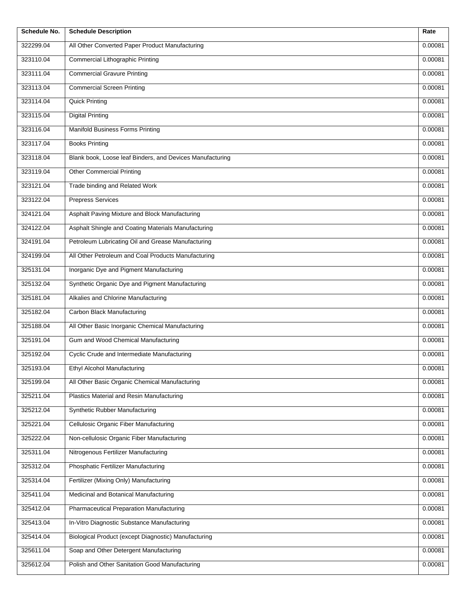| Schedule No. | <b>Schedule Description</b>                               | Rate    |
|--------------|-----------------------------------------------------------|---------|
| 322299.04    | All Other Converted Paper Product Manufacturing           | 0.00081 |
| 323110.04    | <b>Commercial Lithographic Printing</b>                   | 0.00081 |
| 323111.04    | <b>Commercial Gravure Printing</b>                        | 0.00081 |
| 323113.04    | <b>Commercial Screen Printing</b>                         | 0.00081 |
| 323114.04    | <b>Quick Printing</b>                                     | 0.00081 |
| 323115.04    | <b>Digital Printing</b>                                   | 0.00081 |
| 323116.04    | <b>Manifold Business Forms Printing</b>                   | 0.00081 |
| 323117.04    | <b>Books Printing</b>                                     | 0.00081 |
| 323118.04    | Blank book, Loose leaf Binders, and Devices Manufacturing | 0.00081 |
| 323119.04    | <b>Other Commercial Printing</b>                          | 0.00081 |
| 323121.04    | Trade binding and Related Work                            | 0.00081 |
| 323122.04    | <b>Prepress Services</b>                                  | 0.00081 |
| 324121.04    | Asphalt Paving Mixture and Block Manufacturing            | 0.00081 |
| 324122.04    | Asphalt Shingle and Coating Materials Manufacturing       | 0.00081 |
| 324191.04    | Petroleum Lubricating Oil and Grease Manufacturing        | 0.00081 |
| 324199.04    | All Other Petroleum and Coal Products Manufacturing       | 0.00081 |
| 325131.04    | Inorganic Dye and Pigment Manufacturing                   | 0.00081 |
| 325132.04    | Synthetic Organic Dye and Pigment Manufacturing           | 0.00081 |
| 325181.04    | Alkalies and Chlorine Manufacturing                       | 0.00081 |
| 325182.04    | Carbon Black Manufacturing                                | 0.00081 |
| 325188.04    | All Other Basic Inorganic Chemical Manufacturing          | 0.00081 |
| 325191.04    | Gum and Wood Chemical Manufacturing                       | 0.00081 |
| 325192.04    | Cyclic Crude and Intermediate Manufacturing               | 0.00081 |
| 325193.04    | Ethyl Alcohol Manufacturing                               | 0.00081 |
| 325199.04    | All Other Basic Organic Chemical Manufacturing            | 0.00081 |
| 325211.04    | Plastics Material and Resin Manufacturing                 | 0.00081 |
| 325212.04    | Synthetic Rubber Manufacturing                            | 0.00081 |
| 325221.04    | Cellulosic Organic Fiber Manufacturing                    | 0.00081 |
| 325222.04    | Non-cellulosic Organic Fiber Manufacturing                | 0.00081 |
| 325311.04    | Nitrogenous Fertilizer Manufacturing                      | 0.00081 |
| 325312.04    | Phosphatic Fertilizer Manufacturing                       | 0.00081 |
| 325314.04    | Fertilizer (Mixing Only) Manufacturing                    | 0.00081 |
| 325411.04    | Medicinal and Botanical Manufacturing                     | 0.00081 |
| 325412.04    | Pharmaceutical Preparation Manufacturing                  | 0.00081 |
| 325413.04    | In-Vitro Diagnostic Substance Manufacturing               | 0.00081 |
| 325414.04    | Biological Product (except Diagnostic) Manufacturing      | 0.00081 |
| 325611.04    | Soap and Other Detergent Manufacturing                    | 0.00081 |
| 325612.04    | Polish and Other Sanitation Good Manufacturing            | 0.00081 |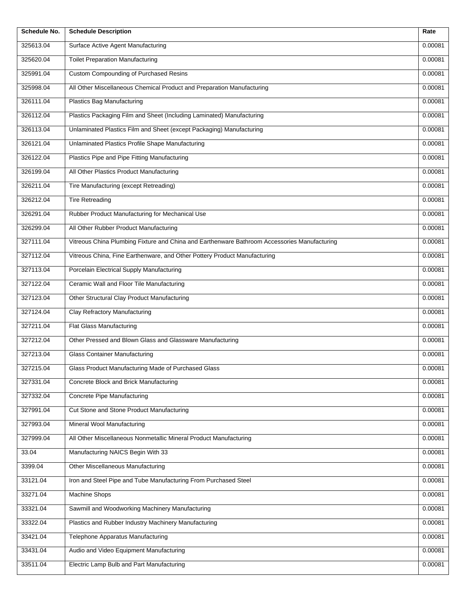| Schedule No. | <b>Schedule Description</b>                                                                  | Rate    |
|--------------|----------------------------------------------------------------------------------------------|---------|
| 325613.04    | Surface Active Agent Manufacturing                                                           | 0.00081 |
| 325620.04    | <b>Toilet Preparation Manufacturing</b>                                                      | 0.00081 |
| 325991.04    | <b>Custom Compounding of Purchased Resins</b>                                                | 0.00081 |
| 325998.04    | All Other Miscellaneous Chemical Product and Preparation Manufacturing                       | 0.00081 |
| 326111.04    | Plastics Bag Manufacturing                                                                   | 0.00081 |
| 326112.04    | Plastics Packaging Film and Sheet (Including Laminated) Manufacturing                        | 0.00081 |
| 326113.04    | Unlaminated Plastics Film and Sheet (except Packaging) Manufacturing                         | 0.00081 |
| 326121.04    | Unlaminated Plastics Profile Shape Manufacturing                                             | 0.00081 |
| 326122.04    | Plastics Pipe and Pipe Fitting Manufacturing                                                 | 0.00081 |
| 326199.04    | All Other Plastics Product Manufacturing                                                     | 0.00081 |
| 326211.04    | Tire Manufacturing (except Retreading)                                                       | 0.00081 |
| 326212.04    | <b>Tire Retreading</b>                                                                       | 0.00081 |
| 326291.04    | Rubber Product Manufacturing for Mechanical Use                                              | 0.00081 |
| 326299.04    | All Other Rubber Product Manufacturing                                                       | 0.00081 |
| 327111.04    | Vitreous China Plumbing Fixture and China and Earthenware Bathroom Accessories Manufacturing | 0.00081 |
| 327112.04    | Vitreous China, Fine Earthenware, and Other Pottery Product Manufacturing                    | 0.00081 |
| 327113.04    | Porcelain Electrical Supply Manufacturing                                                    | 0.00081 |
| 327122.04    | Ceramic Wall and Floor Tile Manufacturing                                                    | 0.00081 |
| 327123.04    | Other Structural Clay Product Manufacturing                                                  | 0.00081 |
| 327124.04    | Clay Refractory Manufacturing                                                                | 0.00081 |
| 327211.04    | Flat Glass Manufacturing                                                                     | 0.00081 |
| 327212.04    | Other Pressed and Blown Glass and Glassware Manufacturing                                    | 0.00081 |
| 327213.04    | <b>Glass Container Manufacturing</b>                                                         | 0.00081 |
| 327215.04    | Glass Product Manufacturing Made of Purchased Glass                                          | 0.00081 |
| 327331.04    | Concrete Block and Brick Manufacturing                                                       | 0.00081 |
| 327332.04    | Concrete Pipe Manufacturing                                                                  | 0.00081 |
| 327991.04    | Cut Stone and Stone Product Manufacturing                                                    | 0.00081 |
| 327993.04    | Mineral Wool Manufacturing                                                                   | 0.00081 |
| 327999.04    | All Other Miscellaneous Nonmetallic Mineral Product Manufacturing                            | 0.00081 |
| 33.04        | Manufacturing NAICS Begin With 33                                                            | 0.00081 |
| 3399.04      | Other Miscellaneous Manufacturing                                                            | 0.00081 |
| 33121.04     | Iron and Steel Pipe and Tube Manufacturing From Purchased Steel                              | 0.00081 |
| 33271.04     | Machine Shops                                                                                | 0.00081 |
| 33321.04     | Sawmill and Woodworking Machinery Manufacturing                                              | 0.00081 |
| 33322.04     | Plastics and Rubber Industry Machinery Manufacturing                                         | 0.00081 |
| 33421.04     | Telephone Apparatus Manufacturing                                                            | 0.00081 |
| 33431.04     | Audio and Video Equipment Manufacturing                                                      | 0.00081 |
| 33511.04     | Electric Lamp Bulb and Part Manufacturing                                                    | 0.00081 |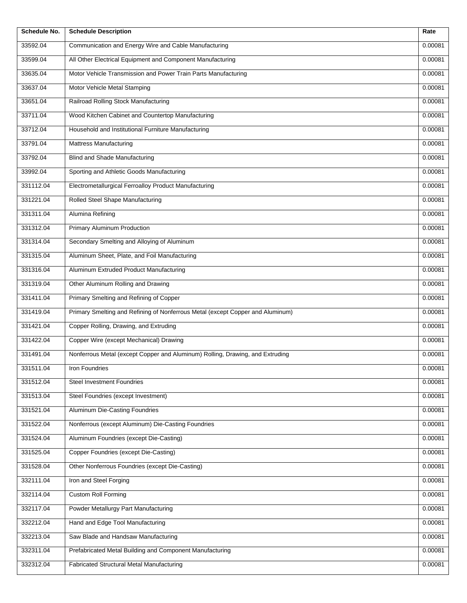| <b>Schedule No.</b> | <b>Schedule Description</b>                                                    | Rate    |
|---------------------|--------------------------------------------------------------------------------|---------|
| 33592.04            | Communication and Energy Wire and Cable Manufacturing                          | 0.00081 |
| 33599.04            | All Other Electrical Equipment and Component Manufacturing                     | 0.00081 |
| 33635.04            | Motor Vehicle Transmission and Power Train Parts Manufacturing                 | 0.00081 |
| 33637.04            | Motor Vehicle Metal Stamping                                                   | 0.00081 |
| 33651.04            | Railroad Rolling Stock Manufacturing                                           | 0.00081 |
| 33711.04            | Wood Kitchen Cabinet and Countertop Manufacturing                              | 0.00081 |
| 33712.04            | Household and Institutional Furniture Manufacturing                            | 0.00081 |
| 33791.04            | <b>Mattress Manufacturing</b>                                                  | 0.00081 |
| 33792.04            | <b>Blind and Shade Manufacturing</b>                                           | 0.00081 |
| 33992.04            | Sporting and Athletic Goods Manufacturing                                      | 0.00081 |
| 331112.04           | Electrometallurgical Ferroalloy Product Manufacturing                          | 0.00081 |
| 331221.04           | <b>Rolled Steel Shape Manufacturing</b>                                        | 0.00081 |
| 331311.04           | Alumina Refining                                                               | 0.00081 |
| 331312.04           | Primary Aluminum Production                                                    | 0.00081 |
| 331314.04           | Secondary Smelting and Alloying of Aluminum                                    | 0.00081 |
| 331315.04           | Aluminum Sheet, Plate, and Foil Manufacturing                                  | 0.00081 |
| 331316.04           | Aluminum Extruded Product Manufacturing                                        | 0.00081 |
| 331319.04           | Other Aluminum Rolling and Drawing                                             | 0.00081 |
| 331411.04           | Primary Smelting and Refining of Copper                                        | 0.00081 |
| 331419.04           | Primary Smelting and Refining of Nonferrous Metal (except Copper and Aluminum) | 0.00081 |
| 331421.04           | Copper Rolling, Drawing, and Extruding                                         | 0.00081 |
| 331422.04           | Copper Wire (except Mechanical) Drawing                                        | 0.00081 |
| 331491.04           | Nonferrous Metal (except Copper and Aluminum) Rolling, Drawing, and Extruding  | 0.00081 |
| 331511.04           | Iron Foundries                                                                 | 0.00081 |
| 331512.04           | <b>Steel Investment Foundries</b>                                              | 0.00081 |
| 331513.04           | Steel Foundries (except Investment)                                            | 0.00081 |
| 331521.04           | Aluminum Die-Casting Foundries                                                 | 0.00081 |
| 331522.04           | Nonferrous (except Aluminum) Die-Casting Foundries                             | 0.00081 |
| 331524.04           | Aluminum Foundries (except Die-Casting)                                        | 0.00081 |
| 331525.04           | Copper Foundries (except Die-Casting)                                          | 0.00081 |
| 331528.04           | Other Nonferrous Foundries (except Die-Casting)                                | 0.00081 |
| 332111.04           | Iron and Steel Forging                                                         | 0.00081 |
| 332114.04           | <b>Custom Roll Forming</b>                                                     | 0.00081 |
| 332117.04           | Powder Metallurgy Part Manufacturing                                           | 0.00081 |
| 332212.04           | Hand and Edge Tool Manufacturing                                               | 0.00081 |
| 332213.04           | Saw Blade and Handsaw Manufacturing                                            | 0.00081 |
| 332311.04           | Prefabricated Metal Building and Component Manufacturing                       | 0.00081 |
| 332312.04           | Fabricated Structural Metal Manufacturing                                      | 0.00081 |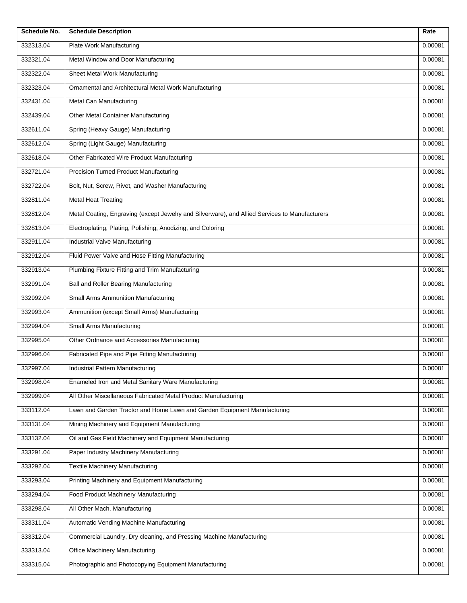| Schedule No. | <b>Schedule Description</b>                                                                    | Rate    |
|--------------|------------------------------------------------------------------------------------------------|---------|
| 332313.04    | Plate Work Manufacturing                                                                       | 0.00081 |
| 332321.04    | Metal Window and Door Manufacturing                                                            | 0.00081 |
| 332322.04    | Sheet Metal Work Manufacturing                                                                 | 0.00081 |
| 332323.04    | Ornamental and Architectural Metal Work Manufacturing                                          | 0.00081 |
| 332431.04    | Metal Can Manufacturing                                                                        | 0.00081 |
| 332439.04    | Other Metal Container Manufacturing                                                            | 0.00081 |
| 332611.04    | Spring (Heavy Gauge) Manufacturing                                                             | 0.00081 |
| 332612.04    | Spring (Light Gauge) Manufacturing                                                             | 0.00081 |
| 332618.04    | Other Fabricated Wire Product Manufacturing                                                    | 0.00081 |
| 332721.04    | <b>Precision Turned Product Manufacturing</b>                                                  | 0.00081 |
| 332722.04    | Bolt, Nut, Screw, Rivet, and Washer Manufacturing                                              | 0.00081 |
| 332811.04    | <b>Metal Heat Treating</b>                                                                     | 0.00081 |
| 332812.04    | Metal Coating, Engraving (except Jewelry and Silverware), and Allied Services to Manufacturers | 0.00081 |
| 332813.04    | Electroplating, Plating, Polishing, Anodizing, and Coloring                                    | 0.00081 |
| 332911.04    | Industrial Valve Manufacturing                                                                 | 0.00081 |
| 332912.04    | Fluid Power Valve and Hose Fitting Manufacturing                                               | 0.00081 |
| 332913.04    | Plumbing Fixture Fitting and Trim Manufacturing                                                | 0.00081 |
| 332991.04    | <b>Ball and Roller Bearing Manufacturing</b>                                                   | 0.00081 |
| 332992.04    | Small Arms Ammunition Manufacturing                                                            | 0.00081 |
| 332993.04    | Ammunition (except Small Arms) Manufacturing                                                   | 0.00081 |
| 332994.04    | Small Arms Manufacturing                                                                       | 0.00081 |
| 332995.04    | Other Ordnance and Accessories Manufacturing                                                   | 0.00081 |
| 332996.04    | Fabricated Pipe and Pipe Fitting Manufacturing                                                 | 0.00081 |
| 332997.04    | Industrial Pattern Manufacturing                                                               | 0.00081 |
| 332998.04    | Enameled Iron and Metal Sanitary Ware Manufacturing                                            | 0.00081 |
| 332999.04    | All Other Miscellaneous Fabricated Metal Product Manufacturing                                 | 0.00081 |
| 333112.04    | Lawn and Garden Tractor and Home Lawn and Garden Equipment Manufacturing                       | 0.00081 |
| 333131.04    | Mining Machinery and Equipment Manufacturing                                                   | 0.00081 |
| 333132.04    | Oil and Gas Field Machinery and Equipment Manufacturing                                        | 0.00081 |
| 333291.04    | Paper Industry Machinery Manufacturing                                                         | 0.00081 |
| 333292.04    | <b>Textile Machinery Manufacturing</b>                                                         | 0.00081 |
| 333293.04    | Printing Machinery and Equipment Manufacturing                                                 | 0.00081 |
| 333294.04    | Food Product Machinery Manufacturing                                                           | 0.00081 |
| 333298.04    | All Other Mach. Manufacturing                                                                  | 0.00081 |
| 333311.04    | Automatic Vending Machine Manufacturing                                                        | 0.00081 |
| 333312.04    | Commercial Laundry, Dry cleaning, and Pressing Machine Manufacturing                           | 0.00081 |
| 333313.04    | Office Machinery Manufacturing                                                                 | 0.00081 |
| 333315.04    | Photographic and Photocopying Equipment Manufacturing                                          | 0.00081 |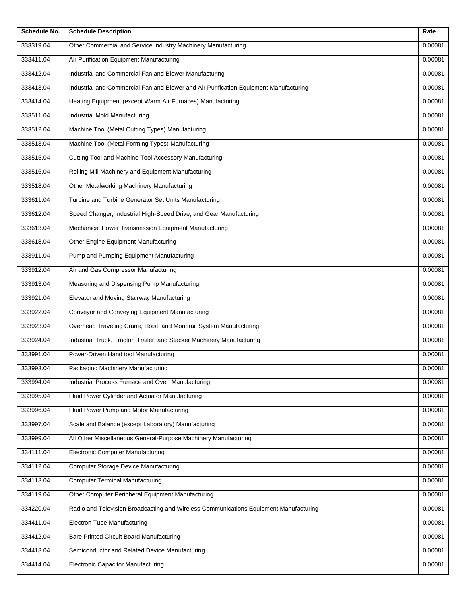| <b>Schedule No.</b> | <b>Schedule Description</b>                                                           | Rate    |
|---------------------|---------------------------------------------------------------------------------------|---------|
| 333319.04           | Other Commercial and Service Industry Machinery Manufacturing                         | 0.00081 |
| 333411.04           | Air Purification Equipment Manufacturing                                              | 0.00081 |
| 333412.04           | Industrial and Commercial Fan and Blower Manufacturing                                | 0.00081 |
| 333413.04           | Industrial and Commercial Fan and Blower and Air Purification Equipment Manufacturing | 0.00081 |
| 333414.04           | Heating Equipment (except Warm Air Furnaces) Manufacturing                            | 0.00081 |
| 333511.04           | Industrial Mold Manufacturing                                                         | 0.00081 |
| 333512.04           | Machine Tool (Metal Cutting Types) Manufacturing                                      | 0.00081 |
| 333513.04           | Machine Tool (Metal Forming Types) Manufacturing                                      | 0.00081 |
| 333515.04           | Cutting Tool and Machine Tool Accessory Manufacturing                                 | 0.00081 |
| 333516.04           | Rolling Mill Machinery and Equipment Manufacturing                                    | 0.00081 |
| 333518.04           | Other Metalworking Machinery Manufacturing                                            | 0.00081 |
| 333611.04           | Turbine and Turbine Generator Set Units Manufacturing                                 | 0.00081 |
| 333612.04           | Speed Changer, Industrial High-Speed Drive, and Gear Manufacturing                    | 0.00081 |
| 333613.04           | Mechanical Power Transmission Equipment Manufacturing                                 | 0.00081 |
| 333618.04           | Other Engine Equipment Manufacturing                                                  | 0.00081 |
| 333911.04           | Pump and Pumping Equipment Manufacturing                                              | 0.00081 |
| 333912.04           | Air and Gas Compressor Manufacturing                                                  | 0.00081 |
| 333913.04           | Measuring and Dispensing Pump Manufacturing                                           | 0.00081 |
| 333921.04           | Elevator and Moving Stairway Manufacturing                                            | 0.00081 |
| 333922.04           | Conveyor and Conveying Equipment Manufacturing                                        | 0.00081 |
| 333923.04           | Overhead Traveling Crane, Hoist, and Monorail System Manufacturing                    | 0.00081 |
| 333924.04           | Industrial Truck, Tractor, Trailer, and Stacker Machinery Manufacturing               | 0.00081 |
| 333991.04           | Power-Driven Hand tool Manufacturing                                                  | 0.00081 |
| 333993.04           | Packaging Machinery Manufacturing                                                     | 0.00081 |
| 333994.04           | Industrial Process Furnace and Oven Manufacturing                                     | 0.00081 |
| 333995.04           | Fluid Power Cylinder and Actuator Manufacturing                                       | 0.00081 |
| 333996.04           | Fluid Power Pump and Motor Manufacturing                                              | 0.00081 |
| 333997.04           | Scale and Balance (except Laboratory) Manufacturing                                   | 0.00081 |
| 333999.04           | All Other Miscellaneous General-Purpose Machinery Manufacturing                       | 0.00081 |
| 334111.04           | <b>Electronic Computer Manufacturing</b>                                              | 0.00081 |
| 334112.04           | <b>Computer Storage Device Manufacturing</b>                                          | 0.00081 |
| 334113.04           | <b>Computer Terminal Manufacturing</b>                                                | 0.00081 |
| 334119.04           | Other Computer Peripheral Equipment Manufacturing                                     | 0.00081 |
| 334220.04           | Radio and Television Broadcasting and Wireless Communications Equipment Manufacturing | 0.00081 |
| 334411.04           | <b>Electron Tube Manufacturing</b>                                                    | 0.00081 |
| 334412.04           | Bare Printed Circuit Board Manufacturing                                              | 0.00081 |
| 334413.04           | Semiconductor and Related Device Manufacturing                                        | 0.00081 |
| 334414.04           | <b>Electronic Capacitor Manufacturing</b>                                             | 0.00081 |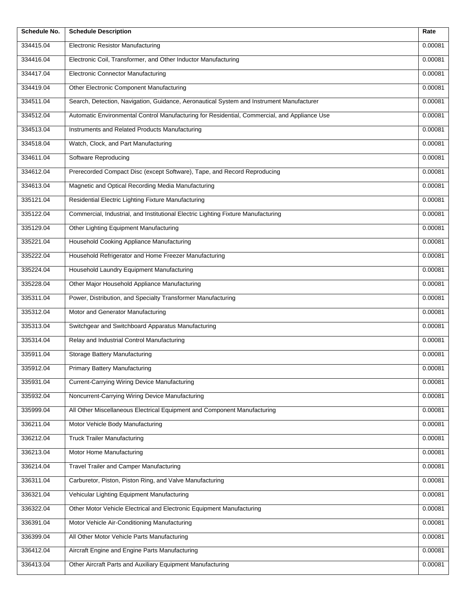| Schedule No. | <b>Schedule Description</b>                                                                  | Rate    |
|--------------|----------------------------------------------------------------------------------------------|---------|
| 334415.04    | <b>Electronic Resistor Manufacturing</b>                                                     | 0.00081 |
| 334416.04    | Electronic Coil, Transformer, and Other Inductor Manufacturing                               | 0.00081 |
| 334417.04    | <b>Electronic Connector Manufacturing</b>                                                    | 0.00081 |
| 334419.04    | Other Electronic Component Manufacturing                                                     | 0.00081 |
| 334511.04    | Search, Detection, Navigation, Guidance, Aeronautical System and Instrument Manufacturer     | 0.00081 |
| 334512.04    | Automatic Environmental Control Manufacturing for Residential, Commercial, and Appliance Use | 0.00081 |
| 334513.04    | Instruments and Related Products Manufacturing                                               | 0.00081 |
| 334518.04    | Watch, Clock, and Part Manufacturing                                                         | 0.00081 |
| 334611.04    | Software Reproducing                                                                         | 0.00081 |
| 334612.04    | Prerecorded Compact Disc (except Software), Tape, and Record Reproducing                     | 0.00081 |
| 334613.04    | Magnetic and Optical Recording Media Manufacturing                                           | 0.00081 |
| 335121.04    | Residential Electric Lighting Fixture Manufacturing                                          | 0.00081 |
| 335122.04    | Commercial, Industrial, and Institutional Electric Lighting Fixture Manufacturing            | 0.00081 |
| 335129.04    | Other Lighting Equipment Manufacturing                                                       | 0.00081 |
| 335221.04    | Household Cooking Appliance Manufacturing                                                    | 0.00081 |
| 335222.04    | Household Refrigerator and Home Freezer Manufacturing                                        | 0.00081 |
| 335224.04    | Household Laundry Equipment Manufacturing                                                    | 0.00081 |
| 335228.04    | Other Major Household Appliance Manufacturing                                                | 0.00081 |
| 335311.04    | Power, Distribution, and Specialty Transformer Manufacturing                                 | 0.00081 |
| 335312.04    | Motor and Generator Manufacturing                                                            | 0.00081 |
| 335313.04    | Switchgear and Switchboard Apparatus Manufacturing                                           | 0.00081 |
| 335314.04    | Relay and Industrial Control Manufacturing                                                   | 0.00081 |
| 335911.04    | <b>Storage Battery Manufacturing</b>                                                         | 0.00081 |
| 335912.04    | <b>Primary Battery Manufacturing</b>                                                         | 0.00081 |
| 335931.04    | <b>Current-Carrying Wiring Device Manufacturing</b>                                          | 0.00081 |
| 335932.04    | Noncurrent-Carrying Wiring Device Manufacturing                                              | 0.00081 |
| 335999.04    | All Other Miscellaneous Electrical Equipment and Component Manufacturing                     | 0.00081 |
| 336211.04    | Motor Vehicle Body Manufacturing                                                             | 0.00081 |
| 336212.04    | <b>Truck Trailer Manufacturing</b>                                                           | 0.00081 |
| 336213.04    | Motor Home Manufacturing                                                                     | 0.00081 |
| 336214.04    | Travel Trailer and Camper Manufacturing                                                      | 0.00081 |
| 336311.04    | Carburetor, Piston, Piston Ring, and Valve Manufacturing                                     | 0.00081 |
| 336321.04    | Vehicular Lighting Equipment Manufacturing                                                   | 0.00081 |
| 336322.04    | Other Motor Vehicle Electrical and Electronic Equipment Manufacturing                        | 0.00081 |
| 336391.04    | Motor Vehicle Air-Conditioning Manufacturing                                                 | 0.00081 |
| 336399.04    | All Other Motor Vehicle Parts Manufacturing                                                  | 0.00081 |
| 336412.04    | Aircraft Engine and Engine Parts Manufacturing                                               | 0.00081 |
| 336413.04    | Other Aircraft Parts and Auxiliary Equipment Manufacturing                                   | 0.00081 |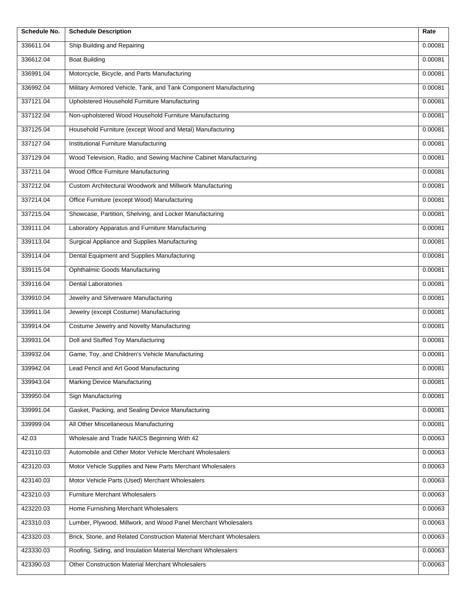| Schedule No. | <b>Schedule Description</b>                                          | Rate    |
|--------------|----------------------------------------------------------------------|---------|
| 336611.04    | Ship Building and Repairing                                          | 0.00081 |
| 336612.04    | <b>Boat Building</b>                                                 | 0.00081 |
| 336991.04    | Motorcycle, Bicycle, and Parts Manufacturing                         | 0.00081 |
| 336992.04    | Military Armored Vehicle, Tank, and Tank Component Manufacturing     | 0.00081 |
| 337121.04    | Upholstered Household Furniture Manufacturing                        | 0.00081 |
| 337122.04    | Non-upholstered Wood Household Furniture Manufacturing               | 0.00081 |
| 337125.04    | Household Furniture (except Wood and Metal) Manufacturing            | 0.00081 |
| 337127.04    | Institutional Furniture Manufacturing                                | 0.00081 |
| 337129.04    | Wood Television, Radio, and Sewing Machine Cabinet Manufacturing     | 0.00081 |
| 337211.04    | Wood Office Furniture Manufacturing                                  | 0.00081 |
| 337212.04    | Custom Architectural Woodwork and Millwork Manufacturing             | 0.00081 |
| 337214.04    | Office Furniture (except Wood) Manufacturing                         | 0.00081 |
| 337215.04    | Showcase, Partition, Shelving, and Locker Manufacturing              | 0.00081 |
| 339111.04    | Laboratory Apparatus and Furniture Manufacturing                     | 0.00081 |
| 339113.04    | Surgical Appliance and Supplies Manufacturing                        | 0.00081 |
| 339114.04    | Dental Equipment and Supplies Manufacturing                          | 0.00081 |
| 339115.04    | Ophthalmic Goods Manufacturing                                       | 0.00081 |
| 339116.04    | <b>Dental Laboratories</b>                                           | 0.00081 |
| 339910.04    | Jewelry and Silverware Manufacturing                                 | 0.00081 |
| 339911.04    | Jewelry (except Costume) Manufacturing                               | 0.00081 |
| 339914.04    | Costume Jewelry and Novelty Manufacturing                            | 0.00081 |
| 339931.04    | Doll and Stuffed Toy Manufacturing                                   | 0.00081 |
| 339932.04    | Game, Toy, and Children's Vehicle Manufacturing                      | 0.00081 |
| 339942.04    | Lead Pencil and Art Good Manufacturing                               | 0.00081 |
| 339943.04    | Marking Device Manufacturing                                         | 0.00081 |
| 339950.04    | Sign Manufacturing                                                   | 0.00081 |
| 339991.04    | Gasket, Packing, and Sealing Device Manufacturing                    | 0.00081 |
| 339999.04    | All Other Miscellaneous Manufacturing                                | 0.00081 |
| 42.03        | Wholesale and Trade NAICS Beginning With 42                          | 0.00063 |
| 423110.03    | Automobile and Other Motor Vehicle Merchant Wholesalers              | 0.00063 |
| 423120.03    | Motor Vehicle Supplies and New Parts Merchant Wholesalers            | 0.00063 |
| 423140.03    | Motor Vehicle Parts (Used) Merchant Wholesalers                      | 0.00063 |
| 423210.03    | <b>Furniture Merchant Wholesalers</b>                                | 0.00063 |
| 423220.03    | Home Furnishing Merchant Wholesalers                                 | 0.00063 |
| 423310.03    | Lumber, Plywood, Millwork, and Wood Panel Merchant Wholesalers       | 0.00063 |
| 423320.03    | Brick, Stone, and Related Construction Material Merchant Wholesalers | 0.00063 |
| 423330.03    | Roofing, Siding, and Insulation Material Merchant Wholesalers        | 0.00063 |
| 423390.03    | Other Construction Material Merchant Wholesalers                     | 0.00063 |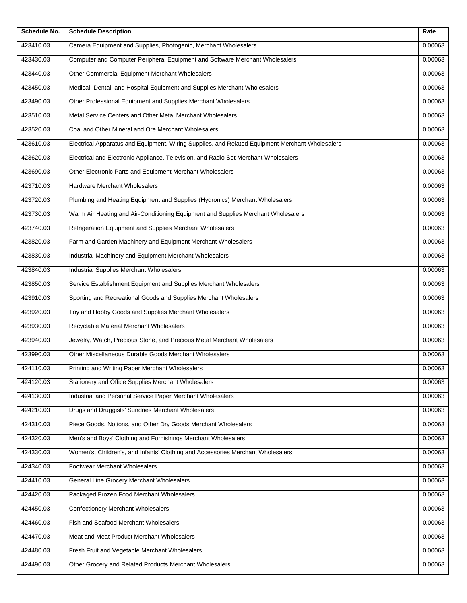| Schedule No. | <b>Schedule Description</b>                                                                     | Rate    |
|--------------|-------------------------------------------------------------------------------------------------|---------|
| 423410.03    | Camera Equipment and Supplies, Photogenic, Merchant Wholesalers                                 | 0.00063 |
| 423430.03    | Computer and Computer Peripheral Equipment and Software Merchant Wholesalers                    | 0.00063 |
| 423440.03    | Other Commercial Equipment Merchant Wholesalers                                                 | 0.00063 |
| 423450.03    | Medical, Dental, and Hospital Equipment and Supplies Merchant Wholesalers                       | 0.00063 |
| 423490.03    | Other Professional Equipment and Supplies Merchant Wholesalers                                  | 0.00063 |
| 423510.03    | Metal Service Centers and Other Metal Merchant Wholesalers                                      | 0.00063 |
| 423520.03    | Coal and Other Mineral and Ore Merchant Wholesalers                                             | 0.00063 |
| 423610.03    | Electrical Apparatus and Equipment, Wiring Supplies, and Related Equipment Merchant Wholesalers | 0.00063 |
| 423620.03    | Electrical and Electronic Appliance, Television, and Radio Set Merchant Wholesalers             | 0.00063 |
| 423690.03    | Other Electronic Parts and Equipment Merchant Wholesalers                                       | 0.00063 |
| 423710.03    | Hardware Merchant Wholesalers                                                                   | 0.00063 |
| 423720.03    | Plumbing and Heating Equipment and Supplies (Hydronics) Merchant Wholesalers                    | 0.00063 |
| 423730.03    | Warm Air Heating and Air-Conditioning Equipment and Supplies Merchant Wholesalers               | 0.00063 |
| 423740.03    | Refrigeration Equipment and Supplies Merchant Wholesalers                                       | 0.00063 |
| 423820.03    | Farm and Garden Machinery and Equipment Merchant Wholesalers                                    | 0.00063 |
| 423830.03    | Industrial Machinery and Equipment Merchant Wholesalers                                         | 0.00063 |
| 423840.03    | Industrial Supplies Merchant Wholesalers                                                        | 0.00063 |
| 423850.03    | Service Establishment Equipment and Supplies Merchant Wholesalers                               | 0.00063 |
| 423910.03    | Sporting and Recreational Goods and Supplies Merchant Wholesalers                               | 0.00063 |
| 423920.03    | Toy and Hobby Goods and Supplies Merchant Wholesalers                                           | 0.00063 |
| 423930.03    | Recyclable Material Merchant Wholesalers                                                        | 0.00063 |
| 423940.03    | Jewelry, Watch, Precious Stone, and Precious Metal Merchant Wholesalers                         | 0.00063 |
| 423990.03    | Other Miscellaneous Durable Goods Merchant Wholesalers                                          | 0.00063 |
| 424110.03    | Printing and Writing Paper Merchant Wholesalers                                                 | 0.00063 |
| 424120.03    | Stationery and Office Supplies Merchant Wholesalers                                             | 0.00063 |
| 424130.03    | Industrial and Personal Service Paper Merchant Wholesalers                                      | 0.00063 |
| 424210.03    | Drugs and Druggists' Sundries Merchant Wholesalers                                              | 0.00063 |
| 424310.03    | Piece Goods, Notions, and Other Dry Goods Merchant Wholesalers                                  | 0.00063 |
| 424320.03    | Men's and Boys' Clothing and Furnishings Merchant Wholesalers                                   | 0.00063 |
| 424330.03    | Women's, Children's, and Infants' Clothing and Accessories Merchant Wholesalers                 | 0.00063 |
| 424340.03    | Footwear Merchant Wholesalers                                                                   | 0.00063 |
| 424410.03    | General Line Grocery Merchant Wholesalers                                                       | 0.00063 |
| 424420.03    | Packaged Frozen Food Merchant Wholesalers                                                       | 0.00063 |
| 424450.03    | <b>Confectionery Merchant Wholesalers</b>                                                       | 0.00063 |
| 424460.03    | Fish and Seafood Merchant Wholesalers                                                           | 0.00063 |
| 424470.03    | Meat and Meat Product Merchant Wholesalers                                                      | 0.00063 |
| 424480.03    | Fresh Fruit and Vegetable Merchant Wholesalers                                                  | 0.00063 |
| 424490.03    | Other Grocery and Related Products Merchant Wholesalers                                         | 0.00063 |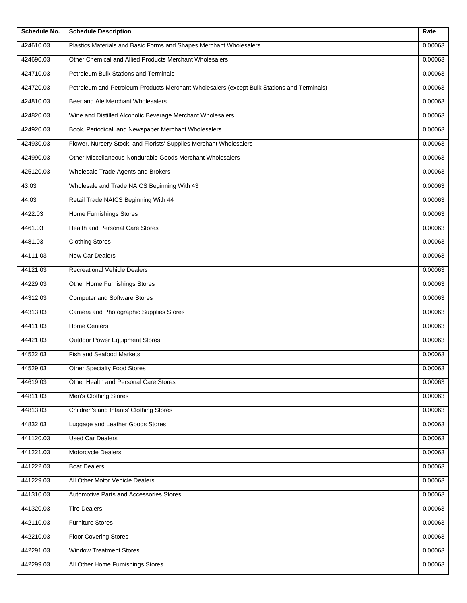| Schedule No. | <b>Schedule Description</b>                                                                | Rate    |
|--------------|--------------------------------------------------------------------------------------------|---------|
| 424610.03    | Plastics Materials and Basic Forms and Shapes Merchant Wholesalers                         | 0.00063 |
| 424690.03    | Other Chemical and Allied Products Merchant Wholesalers                                    | 0.00063 |
| 424710.03    | Petroleum Bulk Stations and Terminals                                                      | 0.00063 |
| 424720.03    | Petroleum and Petroleum Products Merchant Wholesalers (except Bulk Stations and Terminals) | 0.00063 |
| 424810.03    | Beer and Ale Merchant Wholesalers                                                          | 0.00063 |
| 424820.03    | Wine and Distilled Alcoholic Beverage Merchant Wholesalers                                 | 0.00063 |
| 424920.03    | Book, Periodical, and Newspaper Merchant Wholesalers                                       | 0.00063 |
| 424930.03    | Flower, Nursery Stock, and Florists' Supplies Merchant Wholesalers                         | 0.00063 |
| 424990.03    | Other Miscellaneous Nondurable Goods Merchant Wholesalers                                  | 0.00063 |
| 425120.03    | Wholesale Trade Agents and Brokers                                                         | 0.00063 |
| 43.03        | Wholesale and Trade NAICS Beginning With 43                                                | 0.00063 |
| 44.03        | Retail Trade NAICS Beginning With 44                                                       | 0.00063 |
| 4422.03      | <b>Home Furnishings Stores</b>                                                             | 0.00063 |
| 4461.03      | <b>Health and Personal Care Stores</b>                                                     | 0.00063 |
| 4481.03      | <b>Clothing Stores</b>                                                                     | 0.00063 |
| 44111.03     | New Car Dealers                                                                            | 0.00063 |
| 44121.03     | <b>Recreational Vehicle Dealers</b>                                                        | 0.00063 |
| 44229.03     | Other Home Furnishings Stores                                                              | 0.00063 |
| 44312.03     | <b>Computer and Software Stores</b>                                                        | 0.00063 |
| 44313.03     | Camera and Photographic Supplies Stores                                                    | 0.00063 |
| 44411.03     | Home Centers                                                                               | 0.00063 |
| 44421.03     | <b>Outdoor Power Equipment Stores</b>                                                      | 0.00063 |
| 44522.03     | Fish and Seafood Markets                                                                   | 0.00063 |
| 44529.03     | Other Specialty Food Stores                                                                | 0.00063 |
| 44619.03     | Other Health and Personal Care Stores                                                      | 0.00063 |
| 44811.03     | Men's Clothing Stores                                                                      | 0.00063 |
| 44813.03     | Children's and Infants' Clothing Stores                                                    | 0.00063 |
| 44832.03     | Luggage and Leather Goods Stores                                                           | 0.00063 |
| 441120.03    | <b>Used Car Dealers</b>                                                                    | 0.00063 |
| 441221.03    | Motorcycle Dealers                                                                         | 0.00063 |
| 441222.03    | <b>Boat Dealers</b>                                                                        | 0.00063 |
| 441229.03    | All Other Motor Vehicle Dealers                                                            | 0.00063 |
| 441310.03    | Automotive Parts and Accessories Stores                                                    | 0.00063 |
| 441320.03    | <b>Tire Dealers</b>                                                                        | 0.00063 |
| 442110.03    | <b>Furniture Stores</b>                                                                    | 0.00063 |
| 442210.03    | <b>Floor Covering Stores</b>                                                               | 0.00063 |
| 442291.03    | <b>Window Treatment Stores</b>                                                             | 0.00063 |
| 442299.03    | All Other Home Furnishings Stores                                                          | 0.00063 |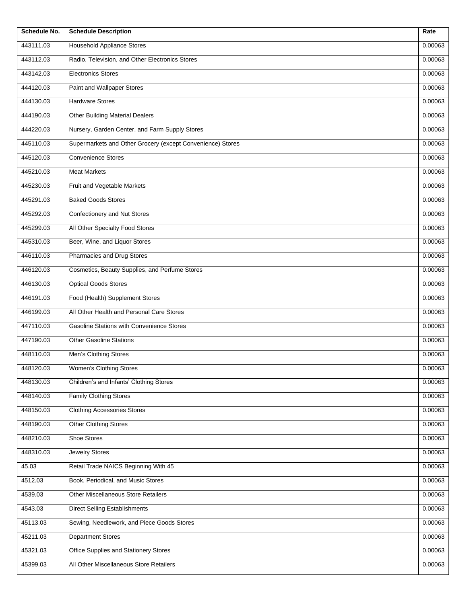| Schedule No. | <b>Schedule Description</b>                                | Rate    |
|--------------|------------------------------------------------------------|---------|
| 443111.03    | <b>Household Appliance Stores</b>                          | 0.00063 |
| 443112.03    | Radio, Television, and Other Electronics Stores            | 0.00063 |
| 443142.03    | <b>Electronics Stores</b>                                  | 0.00063 |
| 444120.03    | Paint and Wallpaper Stores                                 | 0.00063 |
| 444130.03    | <b>Hardware Stores</b>                                     | 0.00063 |
| 444190.03    | <b>Other Building Material Dealers</b>                     | 0.00063 |
| 444220.03    | Nursery, Garden Center, and Farm Supply Stores             | 0.00063 |
| 445110.03    | Supermarkets and Other Grocery (except Convenience) Stores | 0.00063 |
| 445120.03    | <b>Convenience Stores</b>                                  | 0.00063 |
| 445210.03    | <b>Meat Markets</b>                                        | 0.00063 |
| 445230.03    | Fruit and Vegetable Markets                                | 0.00063 |
| 445291.03    | <b>Baked Goods Stores</b>                                  | 0.00063 |
| 445292.03    | <b>Confectionery and Nut Stores</b>                        | 0.00063 |
| 445299.03    | All Other Specialty Food Stores                            | 0.00063 |
| 445310.03    | Beer, Wine, and Liquor Stores                              | 0.00063 |
| 446110.03    | Pharmacies and Drug Stores                                 | 0.00063 |
| 446120.03    | Cosmetics, Beauty Supplies, and Perfume Stores             | 0.00063 |
| 446130.03    | <b>Optical Goods Stores</b>                                | 0.00063 |
| 446191.03    | Food (Health) Supplement Stores                            | 0.00063 |
| 446199.03    | All Other Health and Personal Care Stores                  | 0.00063 |
| 447110.03    | <b>Gasoline Stations with Convenience Stores</b>           | 0.00063 |
| 447190.03    | <b>Other Gasoline Stations</b>                             | 0.00063 |
| 448110.03    | Men's Clothing Stores                                      | 0.00063 |
| 448120.03    | Women's Clothing Stores                                    | 0.00063 |
| 448130.03    | Children's and Infants' Clothing Stores                    | 0.00063 |
| 448140.03    | <b>Family Clothing Stores</b>                              | 0.00063 |
| 448150.03    | <b>Clothing Accessories Stores</b>                         | 0.00063 |
| 448190.03    | <b>Other Clothing Stores</b>                               | 0.00063 |
| 448210.03    | Shoe Stores                                                | 0.00063 |
| 448310.03    | <b>Jewelry Stores</b>                                      | 0.00063 |
| 45.03        | Retail Trade NAICS Beginning With 45                       | 0.00063 |
| 4512.03      | Book, Periodical, and Music Stores                         | 0.00063 |
| 4539.03      | Other Miscellaneous Store Retailers                        | 0.00063 |
| 4543.03      | <b>Direct Selling Establishments</b>                       | 0.00063 |
| 45113.03     | Sewing, Needlework, and Piece Goods Stores                 | 0.00063 |
| 45211.03     | <b>Department Stores</b>                                   | 0.00063 |
| 45321.03     | Office Supplies and Stationery Stores                      | 0.00063 |
| 45399.03     | All Other Miscellaneous Store Retailers                    | 0.00063 |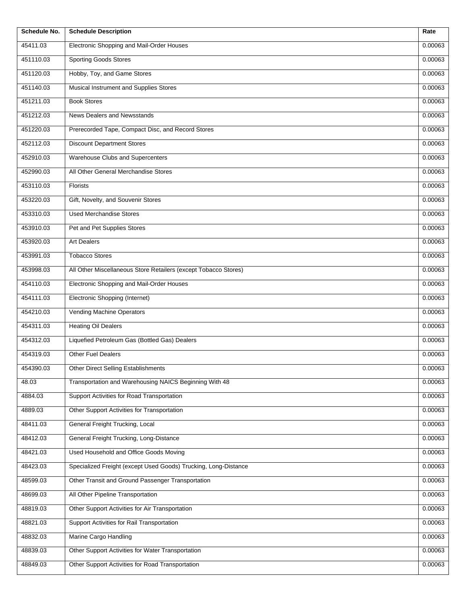| Schedule No. | <b>Schedule Description</b>                                     | Rate    |
|--------------|-----------------------------------------------------------------|---------|
| 45411.03     | Electronic Shopping and Mail-Order Houses                       | 0.00063 |
| 451110.03    | <b>Sporting Goods Stores</b>                                    | 0.00063 |
| 451120.03    | Hobby, Toy, and Game Stores                                     | 0.00063 |
| 451140.03    | Musical Instrument and Supplies Stores                          | 0.00063 |
| 451211.03    | <b>Book Stores</b>                                              | 0.00063 |
| 451212.03    | News Dealers and Newsstands                                     | 0.00063 |
| 451220.03    | Prerecorded Tape, Compact Disc, and Record Stores               | 0.00063 |
| 452112.03    | <b>Discount Department Stores</b>                               | 0.00063 |
| 452910.03    | Warehouse Clubs and Supercenters                                | 0.00063 |
| 452990.03    | All Other General Merchandise Stores                            | 0.00063 |
| 453110.03    | Florists                                                        | 0.00063 |
| 453220.03    | Gift, Novelty, and Souvenir Stores                              | 0.00063 |
| 453310.03    | <b>Used Merchandise Stores</b>                                  | 0.00063 |
| 453910.03    | Pet and Pet Supplies Stores                                     | 0.00063 |
| 453920.03    | <b>Art Dealers</b>                                              | 0.00063 |
| 453991.03    | <b>Tobacco Stores</b>                                           | 0.00063 |
| 453998.03    | All Other Miscellaneous Store Retailers (except Tobacco Stores) | 0.00063 |
| 454110.03    | Electronic Shopping and Mail-Order Houses                       | 0.00063 |
| 454111.03    | Electronic Shopping (Internet)                                  | 0.00063 |
| 454210.03    | <b>Vending Machine Operators</b>                                | 0.00063 |
| 454311.03    | <b>Heating Oil Dealers</b>                                      | 0.00063 |
| 454312.03    | Liquefied Petroleum Gas (Bottled Gas) Dealers                   | 0.00063 |
| 454319.03    | Other Fuel Dealers                                              | 0.00063 |
| 454390.03    | Other Direct Selling Establishments                             | 0.00063 |
| 48.03        | Transportation and Warehousing NAICS Beginning With 48          | 0.00063 |
| 4884.03      | Support Activities for Road Transportation                      | 0.00063 |
| 4889.03      | Other Support Activities for Transportation                     | 0.00063 |
| 48411.03     | General Freight Trucking, Local                                 | 0.00063 |
| 48412.03     | General Freight Trucking, Long-Distance                         | 0.00063 |
| 48421.03     | Used Household and Office Goods Moving                          | 0.00063 |
| 48423.03     | Specialized Freight (except Used Goods) Trucking, Long-Distance | 0.00063 |
| 48599.03     | Other Transit and Ground Passenger Transportation               | 0.00063 |
| 48699.03     | All Other Pipeline Transportation                               | 0.00063 |
| 48819.03     | Other Support Activities for Air Transportation                 | 0.00063 |
| 48821.03     | Support Activities for Rail Transportation                      | 0.00063 |
| 48832.03     | Marine Cargo Handling                                           | 0.00063 |
| 48839.03     | Other Support Activities for Water Transportation               | 0.00063 |
| 48849.03     | Other Support Activities for Road Transportation                | 0.00063 |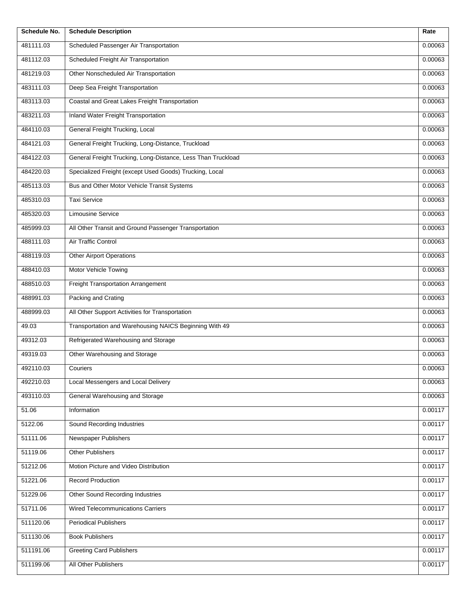| Schedule No. | <b>Schedule Description</b>                                  | Rate    |
|--------------|--------------------------------------------------------------|---------|
| 481111.03    | Scheduled Passenger Air Transportation                       | 0.00063 |
| 481112.03    | Scheduled Freight Air Transportation                         | 0.00063 |
| 481219.03    | Other Nonscheduled Air Transportation                        | 0.00063 |
| 483111.03    | Deep Sea Freight Transportation                              | 0.00063 |
| 483113.03    | Coastal and Great Lakes Freight Transportation               | 0.00063 |
| 483211.03    | Inland Water Freight Transportation                          | 0.00063 |
| 484110.03    | General Freight Trucking, Local                              | 0.00063 |
| 484121.03    | General Freight Trucking, Long-Distance, Truckload           | 0.00063 |
| 484122.03    | General Freight Trucking, Long-Distance, Less Than Truckload | 0.00063 |
| 484220.03    | Specialized Freight (except Used Goods) Trucking, Local      | 0.00063 |
| 485113.03    | Bus and Other Motor Vehicle Transit Systems                  | 0.00063 |
| 485310.03    | <b>Taxi Service</b>                                          | 0.00063 |
| 485320.03    | <b>Limousine Service</b>                                     | 0.00063 |
| 485999.03    | All Other Transit and Ground Passenger Transportation        | 0.00063 |
| 488111.03    | Air Traffic Control                                          | 0.00063 |
| 488119.03    | <b>Other Airport Operations</b>                              | 0.00063 |
| 488410.03    | Motor Vehicle Towing                                         | 0.00063 |
| 488510.03    | Freight Transportation Arrangement                           | 0.00063 |
| 488991.03    | Packing and Crating                                          | 0.00063 |
| 488999.03    | All Other Support Activities for Transportation              | 0.00063 |
| 49.03        | Transportation and Warehousing NAICS Beginning With 49       | 0.00063 |
| 49312.03     | Refrigerated Warehousing and Storage                         | 0.00063 |
| 49319.03     | Other Warehousing and Storage                                | 0.00063 |
| 492110.03    | Couriers                                                     | 0.00063 |
| 492210.03    | Local Messengers and Local Delivery                          | 0.00063 |
| 493110.03    | General Warehousing and Storage                              | 0.00063 |
| 51.06        | Information                                                  | 0.00117 |
| 5122.06      | Sound Recording Industries                                   | 0.00117 |
| 51111.06     | Newspaper Publishers                                         | 0.00117 |
| 51119.06     | <b>Other Publishers</b>                                      | 0.00117 |
| 51212.06     | Motion Picture and Video Distribution                        | 0.00117 |
| 51221.06     | <b>Record Production</b>                                     | 0.00117 |
| 51229.06     | Other Sound Recording Industries                             | 0.00117 |
| 51711.06     | <b>Wired Telecommunications Carriers</b>                     | 0.00117 |
| 511120.06    | <b>Periodical Publishers</b>                                 | 0.00117 |
| 511130.06    | <b>Book Publishers</b>                                       | 0.00117 |
| 511191.06    | <b>Greeting Card Publishers</b>                              | 0.00117 |
| 511199.06    | All Other Publishers                                         | 0.00117 |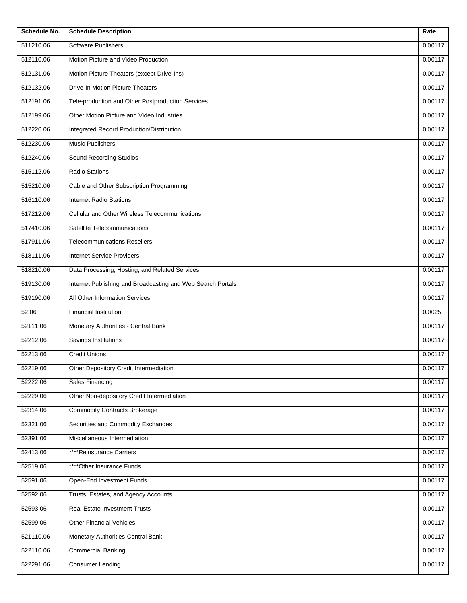| Schedule No. | <b>Schedule Description</b>                                 | Rate    |
|--------------|-------------------------------------------------------------|---------|
| 511210.06    | Software Publishers                                         | 0.00117 |
| 512110.06    | Motion Picture and Video Production                         | 0.00117 |
| 512131.06    | Motion Picture Theaters (except Drive-Ins)                  | 0.00117 |
| 512132.06    | Drive-In Motion Picture Theaters                            | 0.00117 |
| 512191.06    | Tele-production and Other Postproduction Services           | 0.00117 |
| 512199.06    | Other Motion Picture and Video Industries                   | 0.00117 |
| 512220.06    | Integrated Record Production/Distribution                   | 0.00117 |
| 512230.06    | <b>Music Publishers</b>                                     | 0.00117 |
| 512240.06    | <b>Sound Recording Studios</b>                              | 0.00117 |
| 515112.06    | <b>Radio Stations</b>                                       | 0.00117 |
| 515210.06    | Cable and Other Subscription Programming                    | 0.00117 |
| 516110.06    | <b>Internet Radio Stations</b>                              | 0.00117 |
| 517212.06    | <b>Cellular and Other Wireless Telecommunications</b>       | 0.00117 |
| 517410.06    | Satellite Telecommunications                                | 0.00117 |
| 517911.06    | <b>Telecommunications Resellers</b>                         | 0.00117 |
| 518111.06    | <b>Internet Service Providers</b>                           | 0.00117 |
| 518210.06    | Data Processing, Hosting, and Related Services              | 0.00117 |
| 519130.06    | Internet Publishing and Broadcasting and Web Search Portals | 0.00117 |
| 519190.06    | All Other Information Services                              | 0.00117 |
| 52.06        | <b>Financial Institution</b>                                | 0.0025  |
| 52111.06     | Monetary Authorities - Central Bank                         | 0.00117 |
| 52212.06     | <b>Savings Institutions</b>                                 | 0.00117 |
| 52213.06     | <b>Credit Unions</b>                                        | 0.00117 |
| 52219.06     | Other Depository Credit Intermediation                      | 0.00117 |
| 52222.06     | <b>Sales Financing</b>                                      | 0.00117 |
| 52229.06     | Other Non-depository Credit Intermediation                  | 0.00117 |
| 52314.06     | <b>Commodity Contracts Brokerage</b>                        | 0.00117 |
| 52321.06     | Securities and Commodity Exchanges                          | 0.00117 |
| 52391.06     | Miscellaneous Intermediation                                | 0.00117 |
| 52413.06     | ****Reinsurance Carriers                                    | 0.00117 |
| 52519.06     | ****Other Insurance Funds                                   | 0.00117 |
| 52591.06     | Open-End Investment Funds                                   | 0.00117 |
| 52592.06     | Trusts, Estates, and Agency Accounts                        | 0.00117 |
| 52593.06     | Real Estate Investment Trusts                               | 0.00117 |
| 52599.06     | <b>Other Financial Vehicles</b>                             | 0.00117 |
| 521110.06    | Monetary Authorities-Central Bank                           | 0.00117 |
| 522110.06    | <b>Commercial Banking</b>                                   | 0.00117 |
| 522291.06    | <b>Consumer Lending</b>                                     | 0.00117 |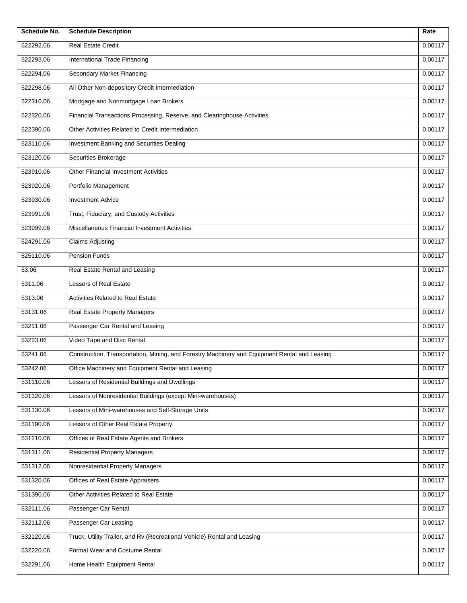| Schedule No. | <b>Schedule Description</b>                                                                   | Rate    |
|--------------|-----------------------------------------------------------------------------------------------|---------|
| 522292.06    | Real Estate Credit                                                                            | 0.00117 |
| 522293.06    | International Trade Financing                                                                 | 0.00117 |
| 522294.06    | <b>Secondary Market Financing</b>                                                             | 0.00117 |
| 522298.06    | All Other Non-depository Credit Intermediation                                                | 0.00117 |
| 522310.06    | Mortgage and Nonmortgage Loan Brokers                                                         | 0.00117 |
| 522320.06    | Financial Transactions Processing, Reserve, and Clearinghouse Activities                      | 0.00117 |
| 522390.06    | Other Activities Related to Credit Intermediation                                             | 0.00117 |
| 523110.06    | Investment Banking and Securities Dealing                                                     | 0.00117 |
| 523120.06    | Securities Brokerage                                                                          | 0.00117 |
| 523910.06    | <b>Other Financial Investment Activities</b>                                                  | 0.00117 |
| 523920.06    | Portfolio Management                                                                          | 0.00117 |
| 523930.06    | <b>Investment Advice</b>                                                                      | 0.00117 |
| 523991.06    | Trust, Fiduciary, and Custody Activities                                                      | 0.00117 |
| 523999.06    | Miscellaneous Financial Investment Activities                                                 | 0.00117 |
| 524291.06    | <b>Claims Adjusting</b>                                                                       | 0.00117 |
| 525110.06    | Pension Funds                                                                                 | 0.00117 |
| 53.06        | Real Estate Rental and Leasing                                                                | 0.00117 |
| 5311.06      | Lessors of Real Estate                                                                        | 0.00117 |
| 5313.06      | <b>Activities Related to Real Estate</b>                                                      | 0.00117 |
| 53131.06     | <b>Real Estate Property Managers</b>                                                          | 0.00117 |
| 53211.06     | Passenger Car Rental and Leasing                                                              | 0.00117 |
| 53223.06     | Video Tape and Disc Rental                                                                    | 0.00117 |
| 53241.06     | Construction, Transportation, Mining, and Forestry Machinery and Equipment Rental and Leasing | 0.00117 |
| 53242.06     | Office Machinery and Equipment Rental and Leasing                                             | 0.00117 |
| 531110.06    | Lessors of Residential Buildings and Dwellings                                                | 0.00117 |
| 531120.06    | Lessors of Nonresidential Buildings (except Mini-warehouses)                                  | 0.00117 |
| 531130.06    | Lessors of Mini-warehouses and Self-Storage Units                                             | 0.00117 |
| 531190.06    | Lessors of Other Real Estate Property                                                         | 0.00117 |
| 531210.06    | Offices of Real Estate Agents and Brokers                                                     | 0.00117 |
| 531311.06    | <b>Residential Property Managers</b>                                                          | 0.00117 |
| 531312.06    | Nonresidential Property Managers                                                              | 0.00117 |
| 531320.06    | Offices of Real Estate Appraisers                                                             | 0.00117 |
| 531390.06    | Other Activities Related to Real Estate                                                       | 0.00117 |
| 532111.06    | Passenger Car Rental                                                                          | 0.00117 |
| 532112.06    | Passenger Car Leasing                                                                         | 0.00117 |
| 532120.06    | Truck, Utility Trailer, and Rv (Recreational Vehicle) Rental and Leasing                      | 0.00117 |
| 532220.06    | Formal Wear and Costume Rental                                                                | 0.00117 |
| 532291.06    | Home Health Equipment Rental                                                                  | 0.00117 |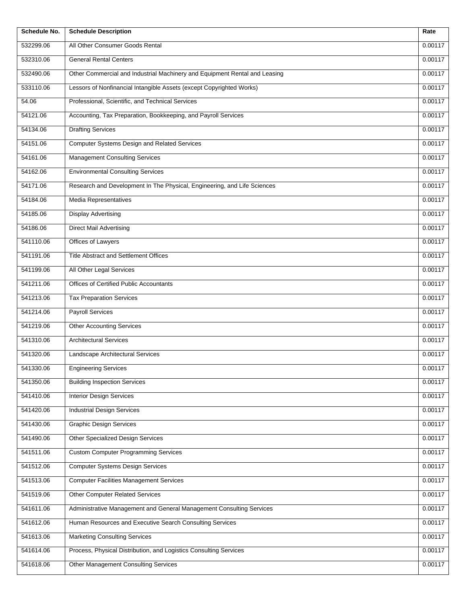| Schedule No. | <b>Schedule Description</b>                                                | Rate    |
|--------------|----------------------------------------------------------------------------|---------|
| 532299.06    | All Other Consumer Goods Rental                                            | 0.00117 |
| 532310.06    | <b>General Rental Centers</b>                                              | 0.00117 |
| 532490.06    | Other Commercial and Industrial Machinery and Equipment Rental and Leasing | 0.00117 |
| 533110.06    | Lessors of Nonfinancial Intangible Assets (except Copyrighted Works)       | 0.00117 |
| 54.06        | Professional, Scientific, and Technical Services                           | 0.00117 |
| 54121.06     | Accounting, Tax Preparation, Bookkeeping, and Payroll Services             | 0.00117 |
| 54134.06     | <b>Drafting Services</b>                                                   | 0.00117 |
| 54151.06     | Computer Systems Design and Related Services                               | 0.00117 |
| 54161.06     | <b>Management Consulting Services</b>                                      | 0.00117 |
| 54162.06     | <b>Environmental Consulting Services</b>                                   | 0.00117 |
| 54171.06     | Research and Development In The Physical, Engineering, and Life Sciences   | 0.00117 |
| 54184.06     | Media Representatives                                                      | 0.00117 |
| 54185.06     | <b>Display Advertising</b>                                                 | 0.00117 |
| 54186.06     | <b>Direct Mail Advertising</b>                                             | 0.00117 |
| 541110.06    | Offices of Lawyers                                                         | 0.00117 |
| 541191.06    | Title Abstract and Settlement Offices                                      | 0.00117 |
| 541199.06    | All Other Legal Services                                                   | 0.00117 |
| 541211.06    | Offices of Certified Public Accountants                                    | 0.00117 |
| 541213.06    | <b>Tax Preparation Services</b>                                            | 0.00117 |
| 541214.06    | <b>Payroll Services</b>                                                    | 0.00117 |
| 541219.06    | <b>Other Accounting Services</b>                                           | 0.00117 |
| 541310.06    | <b>Architectural Services</b>                                              | 0.00117 |
| 541320.06    | Landscape Architectural Services                                           | 0.00117 |
| 541330.06    | <b>Engineering Services</b>                                                | 0.00117 |
| 541350.06    | <b>Building Inspection Services</b>                                        | 0.00117 |
| 541410.06    | <b>Interior Design Services</b>                                            | 0.00117 |
| 541420.06    | <b>Industrial Design Services</b>                                          | 0.00117 |
| 541430.06    | <b>Graphic Design Services</b>                                             | 0.00117 |
| 541490.06    | Other Specialized Design Services                                          | 0.00117 |
| 541511.06    | <b>Custom Computer Programming Services</b>                                | 0.00117 |
| 541512.06    | <b>Computer Systems Design Services</b>                                    | 0.00117 |
| 541513.06    | <b>Computer Facilities Management Services</b>                             | 0.00117 |
| 541519.06    | <b>Other Computer Related Services</b>                                     | 0.00117 |
| 541611.06    | Administrative Management and General Management Consulting Services       | 0.00117 |
| 541612.06    | Human Resources and Executive Search Consulting Services                   | 0.00117 |
| 541613.06    | <b>Marketing Consulting Services</b>                                       | 0.00117 |
| 541614.06    | Process, Physical Distribution, and Logistics Consulting Services          | 0.00117 |
| 541618.06    | <b>Other Management Consulting Services</b>                                | 0.00117 |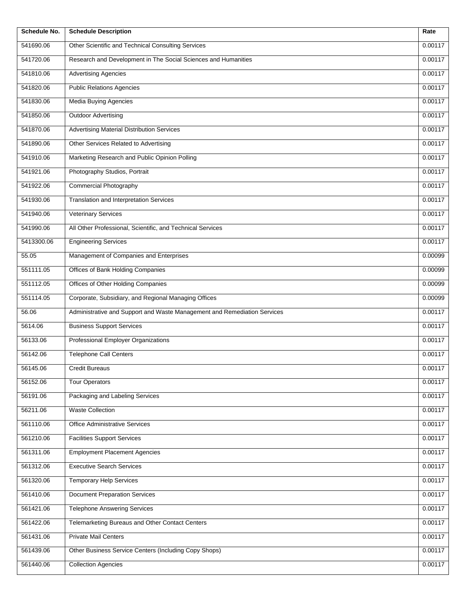| Schedule No. | <b>Schedule Description</b>                                              | Rate    |
|--------------|--------------------------------------------------------------------------|---------|
| 541690.06    | Other Scientific and Technical Consulting Services                       | 0.00117 |
| 541720.06    | Research and Development in The Social Sciences and Humanities           | 0.00117 |
| 541810.06    | <b>Advertising Agencies</b>                                              | 0.00117 |
| 541820.06    | <b>Public Relations Agencies</b>                                         | 0.00117 |
| 541830.06    | Media Buying Agencies                                                    | 0.00117 |
| 541850.06    | <b>Outdoor Advertising</b>                                               | 0.00117 |
| 541870.06    | <b>Advertising Material Distribution Services</b>                        | 0.00117 |
| 541890.06    | Other Services Related to Advertising                                    | 0.00117 |
| 541910.06    | Marketing Research and Public Opinion Polling                            | 0.00117 |
| 541921.06    | Photography Studios, Portrait                                            | 0.00117 |
| 541922.06    | <b>Commercial Photography</b>                                            | 0.00117 |
| 541930.06    | Translation and Interpretation Services                                  | 0.00117 |
| 541940.06    | <b>Veterinary Services</b>                                               | 0.00117 |
| 541990.06    | All Other Professional, Scientific, and Technical Services               | 0.00117 |
| 5413300.06   | <b>Engineering Services</b>                                              | 0.00117 |
| 55.05        | Management of Companies and Enterprises                                  | 0.00099 |
| 551111.05    | Offices of Bank Holding Companies                                        | 0.00099 |
| 551112.05    | Offices of Other Holding Companies                                       | 0.00099 |
| 551114.05    | Corporate, Subsidiary, and Regional Managing Offices                     | 0.00099 |
| 56.06        | Administrative and Support and Waste Management and Remediation Services | 0.00117 |
| 5614.06      | <b>Business Support Services</b>                                         | 0.00117 |
| 56133.06     | Professional Employer Organizations                                      | 0.00117 |
| 56142.06     | <b>Telephone Call Centers</b>                                            | 0.00117 |
| 56145.06     | <b>Credit Bureaus</b>                                                    | 0.00117 |
| 56152.06     | <b>Tour Operators</b>                                                    | 0.00117 |
| 56191.06     | Packaging and Labeling Services                                          | 0.00117 |
| 56211.06     | <b>Waste Collection</b>                                                  | 0.00117 |
| 561110.06    | Office Administrative Services                                           | 0.00117 |
| 561210.06    | <b>Facilities Support Services</b>                                       | 0.00117 |
| 561311.06    | <b>Employment Placement Agencies</b>                                     | 0.00117 |
| 561312.06    | <b>Executive Search Services</b>                                         | 0.00117 |
| 561320.06    | <b>Temporary Help Services</b>                                           | 0.00117 |
| 561410.06    | <b>Document Preparation Services</b>                                     | 0.00117 |
| 561421.06    | <b>Telephone Answering Services</b>                                      | 0.00117 |
| 561422.06    | Telemarketing Bureaus and Other Contact Centers                          | 0.00117 |
| 561431.06    | <b>Private Mail Centers</b>                                              | 0.00117 |
| 561439.06    | Other Business Service Centers (Including Copy Shops)                    | 0.00117 |
| 561440.06    | <b>Collection Agencies</b>                                               | 0.00117 |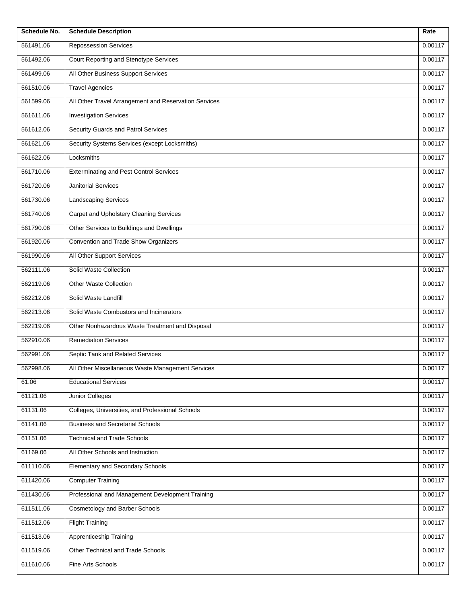| Schedule No. | <b>Schedule Description</b>                           | Rate    |
|--------------|-------------------------------------------------------|---------|
| 561491.06    | Repossession Services                                 | 0.00117 |
| 561492.06    | Court Reporting and Stenotype Services                | 0.00117 |
| 561499.06    | All Other Business Support Services                   | 0.00117 |
| 561510.06    | <b>Travel Agencies</b>                                | 0.00117 |
| 561599.06    | All Other Travel Arrangement and Reservation Services | 0.00117 |
| 561611.06    | <b>Investigation Services</b>                         | 0.00117 |
| 561612.06    | Security Guards and Patrol Services                   | 0.00117 |
| 561621.06    | Security Systems Services (except Locksmiths)         | 0.00117 |
| 561622.06    | Locksmiths                                            | 0.00117 |
| 561710.06    | <b>Exterminating and Pest Control Services</b>        | 0.00117 |
| 561720.06    | Janitorial Services                                   | 0.00117 |
| 561730.06    | <b>Landscaping Services</b>                           | 0.00117 |
| 561740.06    | Carpet and Upholstery Cleaning Services               | 0.00117 |
| 561790.06    | Other Services to Buildings and Dwellings             | 0.00117 |
| 561920.06    | Convention and Trade Show Organizers                  | 0.00117 |
| 561990.06    | All Other Support Services                            | 0.00117 |
| 562111.06    | Solid Waste Collection                                | 0.00117 |
| 562119.06    | <b>Other Waste Collection</b>                         | 0.00117 |
| 562212.06    | Solid Waste Landfill                                  | 0.00117 |
| 562213.06    | Solid Waste Combustors and Incinerators               | 0.00117 |
| 562219.06    | Other Nonhazardous Waste Treatment and Disposal       | 0.00117 |
| 562910.06    | <b>Remediation Services</b>                           | 0.00117 |
| 562991.06    | Septic Tank and Related Services                      | 0.00117 |
| 562998.06    | All Other Miscellaneous Waste Management Services     | 0.00117 |
| 61.06        | <b>Educational Services</b>                           | 0.00117 |
| 61121.06     | Junior Colleges                                       | 0.00117 |
| 61131.06     | Colleges, Universities, and Professional Schools      | 0.00117 |
| 61141.06     | <b>Business and Secretarial Schools</b>               | 0.00117 |
| 61151.06     | <b>Technical and Trade Schools</b>                    | 0.00117 |
| 61169.06     | All Other Schools and Instruction                     | 0.00117 |
| 611110.06    | <b>Elementary and Secondary Schools</b>               | 0.00117 |
| 611420.06    | <b>Computer Training</b>                              | 0.00117 |
| 611430.06    | Professional and Management Development Training      | 0.00117 |
| 611511.06    | <b>Cosmetology and Barber Schools</b>                 | 0.00117 |
| 611512.06    | <b>Flight Training</b>                                | 0.00117 |
| 611513.06    | Apprenticeship Training                               | 0.00117 |
| 611519.06    | Other Technical and Trade Schools                     | 0.00117 |
| 611610.06    | Fine Arts Schools                                     | 0.00117 |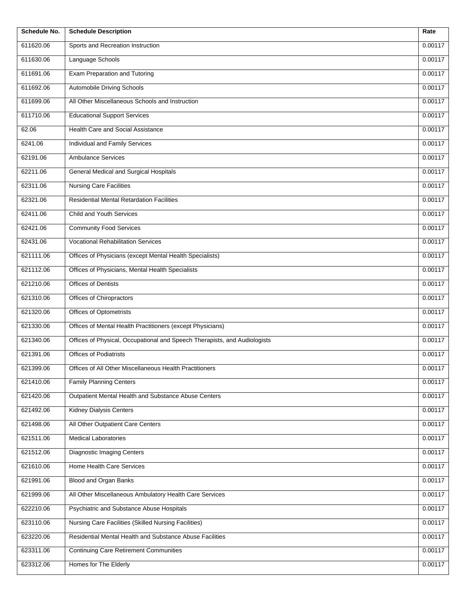| Schedule No. | <b>Schedule Description</b>                                               | Rate    |
|--------------|---------------------------------------------------------------------------|---------|
| 611620.06    | Sports and Recreation Instruction                                         | 0.00117 |
| 611630.06    | Language Schools                                                          | 0.00117 |
| 611691.06    | <b>Exam Preparation and Tutoring</b>                                      | 0.00117 |
| 611692.06    | Automobile Driving Schools                                                | 0.00117 |
| 611699.06    | All Other Miscellaneous Schools and Instruction                           | 0.00117 |
| 611710.06    | <b>Educational Support Services</b>                                       | 0.00117 |
| 62.06        | Health Care and Social Assistance                                         | 0.00117 |
| 6241.06      | Individual and Family Services                                            | 0.00117 |
| 62191.06     | <b>Ambulance Services</b>                                                 | 0.00117 |
| 62211.06     | General Medical and Surgical Hospitals                                    | 0.00117 |
| 62311.06     | <b>Nursing Care Facilities</b>                                            | 0.00117 |
| 62321.06     | <b>Residential Mental Retardation Facilities</b>                          | 0.00117 |
| 62411.06     | Child and Youth Services                                                  | 0.00117 |
| 62421.06     | <b>Community Food Services</b>                                            | 0.00117 |
| 62431.06     | <b>Vocational Rehabilitation Services</b>                                 | 0.00117 |
| 621111.06    | Offices of Physicians (except Mental Health Specialists)                  | 0.00117 |
| 621112.06    | Offices of Physicians, Mental Health Specialists                          | 0.00117 |
| 621210.06    | Offices of Dentists                                                       | 0.00117 |
| 621310.06    | Offices of Chiropractors                                                  | 0.00117 |
| 621320.06    | Offices of Optometrists                                                   | 0.00117 |
| 621330.06    | Offices of Mental Health Practitioners (except Physicians)                | 0.00117 |
| 621340.06    | Offices of Physical, Occupational and Speech Therapists, and Audiologists | 0.00117 |
| 621391.06    | <b>Offices of Podiatrists</b>                                             | 0.00117 |
| 621399.06    | Offices of All Other Miscellaneous Health Practitioners                   | 0.00117 |
| 621410.06    | <b>Family Planning Centers</b>                                            | 0.00117 |
| 621420.06    | Outpatient Mental Health and Substance Abuse Centers                      | 0.00117 |
| 621492.06    | <b>Kidney Dialysis Centers</b>                                            | 0.00117 |
| 621498.06    | All Other Outpatient Care Centers                                         | 0.00117 |
| 621511.06    | <b>Medical Laboratories</b>                                               | 0.00117 |
| 621512.06    | <b>Diagnostic Imaging Centers</b>                                         | 0.00117 |
| 621610.06    | Home Health Care Services                                                 | 0.00117 |
| 621991.06    | <b>Blood and Organ Banks</b>                                              | 0.00117 |
| 621999.06    | All Other Miscellaneous Ambulatory Health Care Services                   | 0.00117 |
| 622210.06    | Psychiatric and Substance Abuse Hospitals                                 | 0.00117 |
| 623110.06    | Nursing Care Facilities (Skilled Nursing Facilities)                      | 0.00117 |
| 623220.06    | Residential Mental Health and Substance Abuse Facilities                  | 0.00117 |
| 623311.06    | <b>Continuing Care Retirement Communities</b>                             | 0.00117 |
| 623312.06    | Homes for The Elderly                                                     | 0.00117 |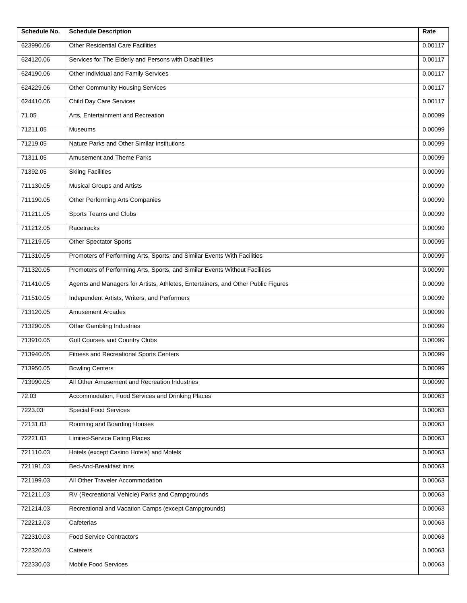| Schedule No. | <b>Schedule Description</b>                                                       | Rate    |
|--------------|-----------------------------------------------------------------------------------|---------|
| 623990.06    | <b>Other Residential Care Facilities</b>                                          | 0.00117 |
| 624120.06    | Services for The Elderly and Persons with Disabilities                            | 0.00117 |
| 624190.06    | Other Individual and Family Services                                              | 0.00117 |
| 624229.06    | <b>Other Community Housing Services</b>                                           | 0.00117 |
| 624410.06    | <b>Child Day Care Services</b>                                                    | 0.00117 |
| 71.05        | Arts, Entertainment and Recreation                                                | 0.00099 |
| 71211.05     | <b>Museums</b>                                                                    | 0.00099 |
| 71219.05     | Nature Parks and Other Similar Institutions                                       | 0.00099 |
| 71311.05     | Amusement and Theme Parks                                                         | 0.00099 |
| 71392.05     | <b>Skiing Facilities</b>                                                          | 0.00099 |
| 711130.05    | <b>Musical Groups and Artists</b>                                                 | 0.00099 |
| 711190.05    | Other Performing Arts Companies                                                   | 0.00099 |
| 711211.05    | <b>Sports Teams and Clubs</b>                                                     | 0.00099 |
| 711212.05    | Racetracks                                                                        | 0.00099 |
| 711219.05    | Other Spectator Sports                                                            | 0.00099 |
| 711310.05    | Promoters of Performing Arts, Sports, and Similar Events With Facilities          | 0.00099 |
| 711320.05    | Promoters of Performing Arts, Sports, and Similar Events Without Facilities       | 0.00099 |
| 711410.05    | Agents and Managers for Artists, Athletes, Entertainers, and Other Public Figures | 0.00099 |
| 711510.05    | Independent Artists, Writers, and Performers                                      | 0.00099 |
| 713120.05    | <b>Amusement Arcades</b>                                                          | 0.00099 |
| 713290.05    | Other Gambling Industries                                                         | 0.00099 |
| 713910.05    | Golf Courses and Country Clubs                                                    | 0.00099 |
| 713940.05    | <b>Fitness and Recreational Sports Centers</b>                                    | 0.00099 |
| 713950.05    | <b>Bowling Centers</b>                                                            | 0.00099 |
| 713990.05    | All Other Amusement and Recreation Industries                                     | 0.00099 |
| 72.03        | Accommodation, Food Services and Drinking Places                                  | 0.00063 |
| 7223.03      | <b>Special Food Services</b>                                                      | 0.00063 |
| 72131.03     | Rooming and Boarding Houses                                                       | 0.00063 |
| 72221.03     | Limited-Service Eating Places                                                     | 0.00063 |
| 721110.03    | Hotels (except Casino Hotels) and Motels                                          | 0.00063 |
| 721191.03    | Bed-And-Breakfast Inns                                                            | 0.00063 |
| 721199.03    | All Other Traveler Accommodation                                                  | 0.00063 |
| 721211.03    | RV (Recreational Vehicle) Parks and Campgrounds                                   | 0.00063 |
| 721214.03    | Recreational and Vacation Camps (except Campgrounds)                              | 0.00063 |
| 722212.03    | Cafeterias                                                                        | 0.00063 |
| 722310.03    | <b>Food Service Contractors</b>                                                   | 0.00063 |
| 722320.03    | Caterers                                                                          | 0.00063 |
| 722330.03    | Mobile Food Services                                                              | 0.00063 |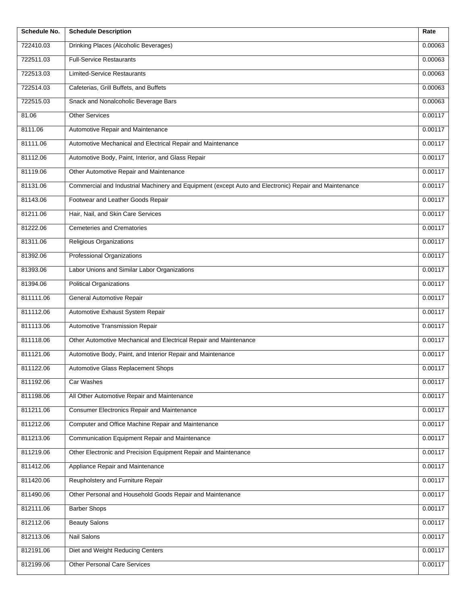| Schedule No. | <b>Schedule Description</b>                                                                           | Rate    |
|--------------|-------------------------------------------------------------------------------------------------------|---------|
| 722410.03    | Drinking Places (Alcoholic Beverages)                                                                 | 0.00063 |
| 722511.03    | <b>Full-Service Restaurants</b>                                                                       | 0.00063 |
| 722513.03    | <b>Limited-Service Restaurants</b>                                                                    | 0.00063 |
| 722514.03    | Cafeterias, Grill Buffets, and Buffets                                                                | 0.00063 |
| 722515.03    | Snack and Nonalcoholic Beverage Bars                                                                  | 0.00063 |
| 81.06        | <b>Other Services</b>                                                                                 | 0.00117 |
| 8111.06      | Automotive Repair and Maintenance                                                                     | 0.00117 |
| 81111.06     | Automotive Mechanical and Electrical Repair and Maintenance                                           | 0.00117 |
| 81112.06     | Automotive Body, Paint, Interior, and Glass Repair                                                    | 0.00117 |
| 81119.06     | Other Automotive Repair and Maintenance                                                               | 0.00117 |
| 81131.06     | Commercial and Industrial Machinery and Equipment (except Auto and Electronic) Repair and Maintenance | 0.00117 |
| 81143.06     | Footwear and Leather Goods Repair                                                                     | 0.00117 |
| 81211.06     | Hair, Nail, and Skin Care Services                                                                    | 0.00117 |
| 81222.06     | <b>Cemeteries and Crematories</b>                                                                     | 0.00117 |
| 81311.06     | Religious Organizations                                                                               | 0.00117 |
| 81392.06     | Professional Organizations                                                                            | 0.00117 |
| 81393.06     | Labor Unions and Similar Labor Organizations                                                          | 0.00117 |
| 81394.06     | <b>Political Organizations</b>                                                                        | 0.00117 |
| 811111.06    | General Automotive Repair                                                                             | 0.00117 |
| 811112.06    | Automotive Exhaust System Repair                                                                      | 0.00117 |
| 811113.06    | Automotive Transmission Repair                                                                        | 0.00117 |
| 811118.06    | Other Automotive Mechanical and Electrical Repair and Maintenance                                     | 0.00117 |
| 811121.06    | Automotive Body, Paint, and Interior Repair and Maintenance                                           | 0.00117 |
| 811122.06    | Automotive Glass Replacement Shops                                                                    | 0.00117 |
| 811192.06    | Car Washes                                                                                            | 0.00117 |
| 811198.06    | All Other Automotive Repair and Maintenance                                                           | 0.00117 |
| 811211.06    | Consumer Electronics Repair and Maintenance                                                           | 0.00117 |
| 811212.06    | Computer and Office Machine Repair and Maintenance                                                    | 0.00117 |
| 811213.06    | Communication Equipment Repair and Maintenance                                                        | 0.00117 |
| 811219.06    | Other Electronic and Precision Equipment Repair and Maintenance                                       | 0.00117 |
| 811412.06    | Appliance Repair and Maintenance                                                                      | 0.00117 |
| 811420.06    | Reupholstery and Furniture Repair                                                                     | 0.00117 |
| 811490.06    | Other Personal and Household Goods Repair and Maintenance                                             | 0.00117 |
| 812111.06    | <b>Barber Shops</b>                                                                                   | 0.00117 |
| 812112.06    | <b>Beauty Salons</b>                                                                                  | 0.00117 |
| 812113.06    | Nail Salons                                                                                           | 0.00117 |
| 812191.06    | Diet and Weight Reducing Centers                                                                      | 0.00117 |
| 812199.06    | <b>Other Personal Care Services</b>                                                                   | 0.00117 |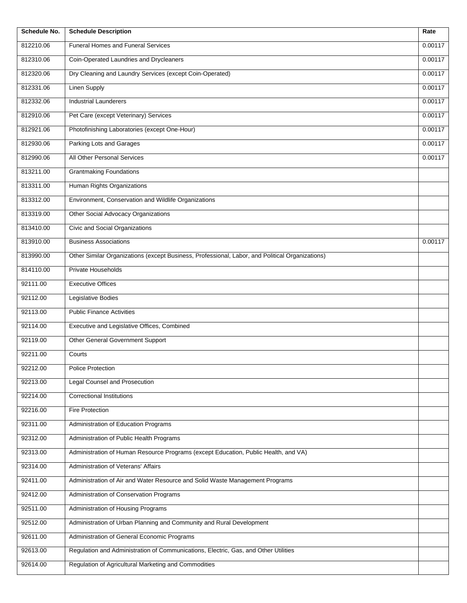| Schedule No. | <b>Schedule Description</b>                                                                     | Rate    |
|--------------|-------------------------------------------------------------------------------------------------|---------|
| 812210.06    | Funeral Homes and Funeral Services                                                              | 0.00117 |
| 812310.06    | Coin-Operated Laundries and Drycleaners                                                         | 0.00117 |
| 812320.06    | Dry Cleaning and Laundry Services (except Coin-Operated)                                        | 0.00117 |
| 812331.06    | <b>Linen Supply</b>                                                                             | 0.00117 |
| 812332.06    | <b>Industrial Launderers</b>                                                                    | 0.00117 |
| 812910.06    | Pet Care (except Veterinary) Services                                                           | 0.00117 |
| 812921.06    | Photofinishing Laboratories (except One-Hour)                                                   | 0.00117 |
| 812930.06    | Parking Lots and Garages                                                                        | 0.00117 |
| 812990.06    | All Other Personal Services                                                                     | 0.00117 |
| 813211.00    | <b>Grantmaking Foundations</b>                                                                  |         |
| 813311.00    | Human Rights Organizations                                                                      |         |
| 813312.00    | Environment, Conservation and Wildlife Organizations                                            |         |
| 813319.00    | <b>Other Social Advocacy Organizations</b>                                                      |         |
| 813410.00    | Civic and Social Organizations                                                                  |         |
| 813910.00    | <b>Business Associations</b>                                                                    | 0.00117 |
| 813990.00    | Other Similar Organizations (except Business, Professional, Labor, and Political Organizations) |         |
| 814110.00    | Private Households                                                                              |         |
| 92111.00     | <b>Executive Offices</b>                                                                        |         |
| 92112.00     | <b>Legislative Bodies</b>                                                                       |         |
| 92113.00     | <b>Public Finance Activities</b>                                                                |         |
| 92114.00     | Executive and Legislative Offices, Combined                                                     |         |
| 92119.00     | Other General Government Support                                                                |         |
| 92211.00     | Courts                                                                                          |         |
| 92212.00     | Police Protection                                                                               |         |
| 92213.00     | Legal Counsel and Prosecution                                                                   |         |
| 92214.00     | <b>Correctional Institutions</b>                                                                |         |
| 92216.00     | Fire Protection                                                                                 |         |
| 92311.00     | Administration of Education Programs                                                            |         |
| 92312.00     | Administration of Public Health Programs                                                        |         |
| 92313.00     | Administration of Human Resource Programs (except Education, Public Health, and VA)             |         |
| 92314.00     | Administration of Veterans' Affairs                                                             |         |
| 92411.00     | Administration of Air and Water Resource and Solid Waste Management Programs                    |         |
| 92412.00     | Administration of Conservation Programs                                                         |         |
| 92511.00     | Administration of Housing Programs                                                              |         |
| 92512.00     | Administration of Urban Planning and Community and Rural Development                            |         |
| 92611.00     | Administration of General Economic Programs                                                     |         |
| 92613.00     | Regulation and Administration of Communications, Electric, Gas, and Other Utilities             |         |
| 92614.00     | Regulation of Agricultural Marketing and Commodities                                            |         |